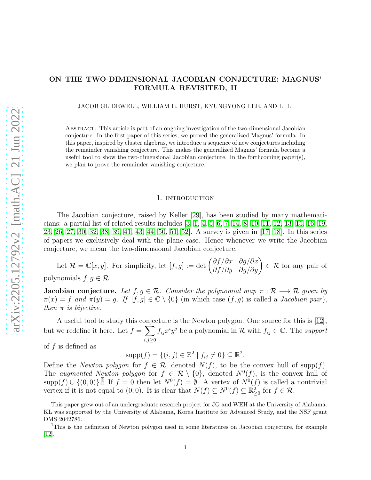# ON THE TWO-DIMENSIONAL JACOBIAN CONJECTURE: MAGNUS' FORMULA REVISITED, II

JACOB GLIDEWELL, WILLIAM E. HURST, KYUNGYONG LEE, AND LI LI

Abstract. This article is part of an ongoing investigation of the two-dimensional Jacobian conjecture. In the first paper of this series, we proved the generalized Magnus' formula. In this paper, inspired by cluster algebras, we introduce a sequence of new conjectures including the remainder vanishing conjecture. This makes the generalized Magnus' formula become a useful tool to show the two-dimensional Jacobian conjecture. In the forthcoming paper(s), we plan to prove the remainder vanishing conjecture.

#### 1. introduction

The Jacobian conjecture, raised by Keller [\[29\]](#page-24-0), has been studied by many mathematicians: a partial list of related results includes [\[3,](#page-23-0) [1,](#page-23-1) [4,](#page-23-2) [5,](#page-23-3) [6,](#page-23-4) [7,](#page-23-5) [14,](#page-24-1) [8,](#page-23-6) [10,](#page-24-2) [11,](#page-24-3) [12,](#page-24-4) [13,](#page-24-5) [15,](#page-24-6) [16,](#page-24-7) [19,](#page-24-8) [23,](#page-24-9) [26,](#page-24-10) [27,](#page-24-11) [30,](#page-24-12) [32,](#page-24-13) [38,](#page-25-0) [39,](#page-25-1) [41,](#page-25-2) [43,](#page-25-3) [44,](#page-25-4) [50,](#page-25-5) [51,](#page-25-6) [52\]](#page-25-7). A survey is given in [\[17,](#page-24-14) [18\]](#page-24-15). In this series of papers we exclusively deal with the plane case. Hence whenever we write the Jacobian conjecture, we mean the two-dimensional Jacobian conjecture.

Let  $\mathcal{R} = \mathbb{C}[x, y]$ . For simplicity, let  $[f, g] := \det \begin{pmatrix} \partial f/\partial x & \partial g/\partial x \\ \partial f/\partial y & \partial g/\partial y \end{pmatrix} \in \mathcal{R}$  for any pair of polynomials  $f, g \in \mathcal{R}$ .

**Jacobian conjecture.** Let  $f, g \in \mathcal{R}$ . Consider the polynomial map  $\pi : \mathcal{R} \longrightarrow \mathcal{R}$  given by  $\pi(x) = f$  *and*  $\pi(y) = g$ . If  $[f, g] \in \mathbb{C} \setminus \{0\}$  (in which case  $(f, g)$  is called a *Jacobian pair*), *then*  $\pi$  *is bijective.* 

A useful tool to study this conjecture is the Newton polygon. One source for this is [\[12\]](#page-24-4), but we redefine it here. Let  $f = \sum$  $_{i,j\geq0}$  $f_{ij}x^iy^j$  be a polynomial in  $\mathcal R$  with  $f_{ij} \in \mathbb C$ . The *support* of  $f$  is defined as

 $supp(f) = \{(i, j) \in \mathbb{Z}^2 \mid f_{ij} \neq 0\} \subseteq \mathbb{R}^2$ .

Define the *Newton polygon* for  $f \in \mathcal{R}$ , denoted  $N(f)$ , to be the convex hull of supp(f). The *augmented Newton polygon* for  $f \in \mathcal{R} \setminus \{0\}$ , denoted  $N^0(f)$ , is the convex hull of  $\text{supp}(f) \cup \{(0,0)\}$ .<sup>[1](#page-0-0)</sup> If  $f = 0$  then let  $N^0(f) = \emptyset$ . A vertex of  $N^0(f)$  is called a nontrivial vertex if it is not equal to  $(0,0)$ . It is clear that  $N(f) \subseteq N^0(f) \subseteq \mathbb{R}^2_{\geq 0}$  for  $f \in \mathcal{R}$ .

This paper grew out of an undergraduate research project for JG and WEH at the University of Alabama. KL was supported by the University of Alabama, Korea Institute for Advanced Study, and the NSF grant DMS 2042786.

<span id="page-0-0"></span><sup>1</sup>This is the definition of Newton polygon used in some literatures on Jacobian conjecture, for example [\[12\]](#page-24-4).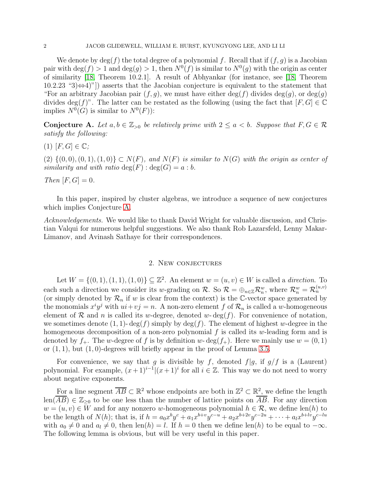We denote by  $\deg(f)$  the total degree of a polynomial f. Recall that if  $(f, q)$  is a Jacobian pair with  $deg(f) > 1$  and  $deg(g) > 1$ , then  $N^0(f)$  is similar to  $N^0(g)$  with the origin as center of similarity [\[18,](#page-24-15) Theorem 10.2.1]. A result of Abhyankar (for instance, see [\[18,](#page-24-15) Theorem 10.2.23 "3)⇔4)"]) asserts that the Jacobian conjecture is equivalent to the statement that "For an arbitrary Jacobian pair  $(f, q)$ , we must have either deg(f) divides  $deg(q)$ , or  $deg(q)$ divides deg(f)". The latter can be restated as the following (using the fact that  $[F, G] \in \mathbb{C}$ implies  $N^0(G)$  is similar to  $N^0(F)$ :

<span id="page-1-0"></span>Conjecture A. Let  $a, b \in \mathbb{Z}_{>0}$  be relatively prime with  $2 \le a < b$ . Suppose that  $F, G \in \mathcal{R}$ *satisfy the following:*

 $(1)$   $[F, G] \in \mathbb{C}$ ;

 $(2) \{(0,0), (0,1), (1,0)\} \subset N(F)$ *, and*  $N(F)$  *is similar to*  $N(G)$  *with the origin as center of similarity and with ratio*  $deg(F)$ :  $deg(G) = a : b$ .

*Then*  $[F, G] = 0$ *.* 

In this paper, inspired by cluster algebras, we introduce a sequence of new conjectures which implies Conjecture [A.](#page-1-0)

*Acknowledgements.* We would like to thank David Wright for valuable discussion, and Christian Valqui for numerous helpful suggestions. We also thank Rob Lazarsfeld, Lenny Makar-Limanov, and Avinash Sathaye for their correspondences.

## 2. New conjectures

Let  $W = \{(0, 1), (1, 1), (1, 0)\}\subseteq \mathbb{Z}^2$ . An element  $w = (u, v) \in W$  is called a *direction*. To each such a direction we consider its w-grading on R. So  $\mathcal{R} = \bigoplus_{n \in \mathbb{Z}} \mathcal{R}_n^w$ , where  $\mathcal{R}_n^w = \mathcal{R}_n^{(u,v)}$ (or simply denoted by  $\mathcal{R}_n$  if w is clear from the context) is the C-vector space generated by the monomials  $x^i y^j$  with  $ui + vj = n$ . A non-zero element f of  $\mathcal{R}_n$  is called a w-homogeneous element of R and n is called its w-degree, denoted w- $\deg(f)$ . For convenience of notation, we sometimes denote  $(1, 1)$ - deg $(f)$  simply by deg $(f)$ . The element of highest w-degree in the homogeneous decomposition of a non-zero polynomial  $f$  is called its w-leading form and is denoted by  $f_+$ . The w-degree of f is by definition w-deg $(f_+)$ . Here we mainly use  $w = (0, 1)$ or  $(1, 1)$ , but  $(1, 0)$ -degrees will briefly appear in the proof of Lemma [3.5.](#page-15-0)

For convenience, we say that g is divisible by f, denoted  $f|g$ , if  $g/f$  is a (Laurent) polynomial. For example,  $(x+1)^{i-1} | (x+1)^i$  for all  $i \in \mathbb{Z}$ . This way we do not need to worry about negative exponents.

For a line segment  $\overline{AB} \subset \mathbb{R}^2$  whose endpoints are both in  $\mathbb{Z}^2 \subset \mathbb{R}^2$ , we define the length  $\text{len}(\overline{AB}) \in \mathbb{Z}_{\geq 0}$  to be one less than the number of lattice points on  $\overline{AB}$ . For any direction  $w = (u, v) \in W$  and for any nonzero w-homogeneous polynomial  $h \in \mathcal{R}$ , we define len(h) to be the length of  $N(h)$ ; that is, if  $h = a_0 x^b y^c + a_1 x^{b+v} y^{c-u} + a_2 x^{b+2v} y^{c-2u} + \cdots + a_l x^{b+lv} y^{c-lu}$ with  $a_0 \neq 0$  and  $a_l \neq 0$ , then len(h) = l. If  $h = 0$  then we define len(h) to be equal to  $-\infty$ . The following lemma is obvious, but will be very useful in this paper.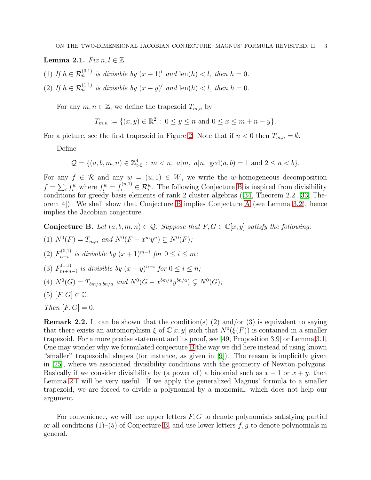<span id="page-2-1"></span>Lemma 2.1. *Fix*  $n, l \in \mathbb{Z}$ .

- (1) If  $h \in \mathcal{R}_n^{(0,1)}$  is divisible by  $(x+1)^l$  and len(h) < l, then  $h = 0$ .
- (2) If  $h \in \mathcal{R}_n^{(1,1)}$  is divisible by  $(x+y)^l$  and  $\text{len}(h) < l$ , then  $h = 0$ .

For any  $m, n \in \mathbb{Z}$ , we define the trapezoid  $T_{m,n}$  by

$$
T_{m,n} := \{ (x, y) \in \mathbb{R}^2 \, : \, 0 \le y \le n \text{ and } 0 \le x \le m + n - y \}.
$$

For a picture, see the first trapezoid in Figure [2.](#page-10-0) Note that if  $n < 0$  then  $T_{m,n} = \emptyset$ .

Define

$$
\mathcal{Q} = \{(a, b, m, n) \in \mathbb{Z}_{>0}^4 : m < n, \ a|m, \ a|n, \ \gcd(a, b) = 1 \ \text{and} \ 2 \le a < b\}.
$$

For any  $f \in \mathcal{R}$  and any  $w = (u, 1) \in W$ , we write the w-homogeneous decomposition  $f = \sum_i f_i^w$  where  $f_i^w = f_i^{(u,1)} \in \mathcal{R}_i^w$ . The following Conjecture [B](#page-2-0) is inspired from divisibility conditions for greedy basis elements of rank 2 cluster algebras([\[34,](#page-24-16) Theorem 2.2],[\[33,](#page-24-17) Theorem 4]). We shall show that Conjecture [B](#page-2-0) implies Conjecture [A](#page-1-0) (see Lemma [3.2\)](#page-11-0), hence implies the Jacobian conjecture.

<span id="page-2-0"></span>Conjecture B. Let  $(a, b, m, n) \in \mathcal{Q}$ . Suppose that  $F, G \in \mathbb{C}[x, y]$  satisfy the following:

(1)  $N^0(F) = T_{m,n}$  and  $N^0(F - x^m y^n) \subsetneq N^0(F)$ ;  $(2)$   $F_{n-i}^{(0,1)}$  $\sum_{n-i}^{(0,1)}$  *is divisible by*  $(x+1)^{m-i}$  *for*  $0 \le i \le m$ *;*  $(3)$   $F_{m+n}^{(1,1)}$  $\lim_{m+n-i}$  *is divisible by*  $(x+y)^{n-i}$  *for*  $0 \le i \le n$ *;* (4)  $N^0(G) = T_{bm/a,bn/a}$  and  $N^0(G - x^{bm/a}y^{bn/a}) \subsetneq N^0(G);$ (5)  $[F, G] \in \mathbb{C}$ *.* 

*Then*  $[F, G] = 0$ *.* 

**Remark 2.2.** It can be shown that the condition(s) (2) and/or (3) is equivalent to saying that there exists an automorphism  $\xi$  of  $\mathbb{C}[x, y]$  such that  $N^0(\xi(F))$  is contained in a smaller trapezoid. For a more precise statement and its proof, see [\[49,](#page-25-8) Proposition 3.9] or Lemma [3.1.](#page-10-1) One may wonder why we formulated conjecture [B](#page-2-0) the way we did here instead of using known "smaller" trapezoidal shapes (for instance, as given in [\[9\]](#page-24-18)). The reason is implicitly given in [\[25\]](#page-24-19), where we associated divisibility conditions with the geometry of Newton polygons. Basically if we consider divisibility by (a power of) a binomial such as  $x + 1$  or  $x + y$ , then Lemma [2.1](#page-2-1) will be very useful. If we apply the generalized Magnus' formula to a smaller trapezoid, we are forced to divide a polynomial by a monomial, which does not help our argument.

For convenience, we will use upper letters  $F, G$  to denote polynomials satisfying partial or all conditions  $(1)$ – $(5)$  of Conjecture [B,](#page-2-0) and use lower letters f, g to denote polynomials in general.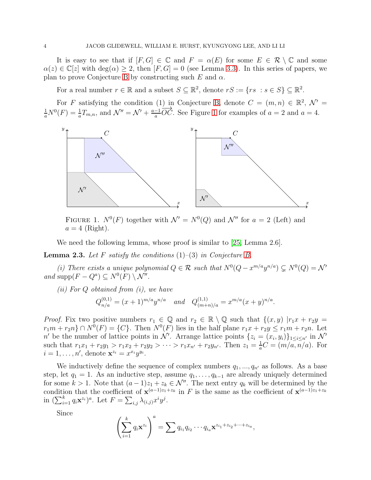It is easy to see that if  $[F, G] \in \mathbb{C}$  and  $F = \alpha(E)$  for some  $E \in \mathcal{R} \setminus \mathbb{C}$  and some  $\alpha(z) \in \mathbb{C}[z]$  with  $\deg(\alpha) \geq 2$ , then  $[F, G] = 0$  (see Lemma [3.3\)](#page-12-0). In this series of papers, we plan to prove Conjecture [B](#page-2-0) by constructing such E and  $\alpha$ .

For a real number  $r \in \mathbb{R}$  and a subset  $S \subseteq \mathbb{R}^2$ , denote  $rS := \{rs : s \in S\} \subseteq \mathbb{R}^2$ .

For F satisfying the condition (1) in Conjecture [B,](#page-2-0) denote  $C = (m, n) \in \mathbb{R}^2$ ,  $\mathcal{N}' =$  $\frac{1}{a}N^{0}(F) = \frac{1}{a}T_{m,n}$ , and  $\mathcal{N}'' = \mathcal{N}' + \frac{a-1}{a}$  $\frac{-1}{a}OC$ . See Figure [1](#page-3-0) for examples of  $a = 2$  and  $a = 4$ .



<span id="page-3-0"></span>FIGURE 1.  $N^0(F)$  together with  $\mathcal{N}' = N^0(Q)$  and  $\mathcal{N}''$  for  $a = 2$  (Left) and  $a = 4$  (Right).

We need the following lemma, whose proof is similar to [\[25,](#page-24-19) Lemma 2.6].

<span id="page-3-1"></span>Lemma 2.3. *Let* F *satisfy the conditions* (1)–(3) *in Conjecture [B.](#page-2-0)*

(i) There exists a unique polynomial  $Q \in \mathcal{R}$  such that  $N^0(Q - x^{m/a}y^{n/a}) \subsetneq N^0(Q) = \mathcal{N}'$ *and* supp $(F - Q^a) \subseteq N^0(F) \setminus \mathcal{N}''$ *.* 

*(ii) For* Q *obtained from (i), we have*

$$
Q_{n/a}^{(0,1)} = (x+1)^{m/a} y^{n/a}
$$
 and  $Q_{(m+n)/a}^{(1,1)} = x^{m/a} (x+y)^{n/a}$ .

*Proof.* Fix two positive numbers  $r_1 \in \mathbb{Q}$  and  $r_2 \in \mathbb{R} \setminus \mathbb{Q}$  such that  $\{(x, y) | r_1x + r_2y =$  $r_1m + r_2n$   $\cap$   $N^0(F) = \{C\}$ . Then  $N^0(F)$  lies in the half plane  $r_1x + r_2y \le r_1m + r_2n$ . Let n' be the number of lattice points in N'. Arrange lattice points  $\{z_i = (x_i, y_i)\}_{1 \leq i \leq n'}$  in N' such that  $r_1x_1 + r_2y_1 > r_1x_2 + r_2y_2 > \cdots > r_1x_{n'} + r_2y_{n'}$ . Then  $z_1 = \frac{1}{a}$  $\frac{1}{a}C = (m/a, n/a)$ . For  $i = 1, \ldots, n'$ , denote  $\mathbf{x}^{z_i} = x^{x_i} y^{y_i}$ .

We inductively define the sequence of complex numbers  $q_1, ..., q_{n'}$  as follows. As a base step, let  $q_1 = 1$ . As an inductive step, assume  $q_1, \ldots, q_{k-1}$  are already uniquely determined for some  $k > 1$ . Note that  $(a - 1)z_1 + z_k \in \mathcal{N}''$ . The next entry  $q_k$  will be determined by the condition that the coefficient of  $\mathbf{x}^{(a-1)z_1+z_k}$  in F is the same as the coefficient of  $\mathbf{x}^{(a-1)z_1+z_k}$ in  $(\sum_{i=1}^k q_i \mathbf{x}^{z_i})^a$ . Let  $F = \sum_{i,j} \lambda_{(i,j)} x^i y^j$ .

Since

$$
\left(\sum_{i=1}^k q_i \mathbf{x}^{z_i}\right)^a = \sum q_{i_1} q_{i_2} \cdots q_{i_a} \mathbf{x}^{z_{i_1} + z_{i_2} + \cdots + z_{i_a}},
$$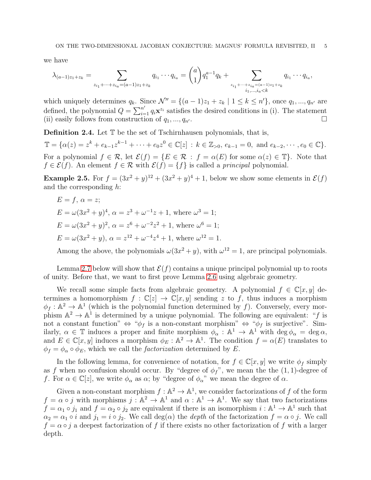we have

$$
\lambda_{(a-1)z_1+z_k} = \sum_{z_{i_1}+\cdots+z_{i_a}=(a-1)z_1+z_k} q_{i_1}\cdots q_{i_a} = {a \choose 1} q_1^{a-1}q_k + \sum_{\substack{z_{i_1}+\cdots+z_{i_a}=(a-1)z_1+z_k \\ i_1,\ldots,i_a
$$

which uniquely determines  $q_k$ . Since  $\mathcal{N}'' = \{(a-1)z_1 + z_k \mid 1 \leq k \leq n'\}$ , once  $q_1, ..., q_{n'}$  are defined, the polynomial  $Q = \sum_{i=1}^{n'} q_i \mathbf{x}^{z_i}$  satisfies the desired conditions in (i). The statement (ii) easily follows from construction of  $q_1, ..., q_{n'}$ .

Definition 2.4. Let  $\mathbb T$  be the set of Tschirnhausen polynomials, that is,

 $\mathbb{T} = {\alpha(z) = z^k + e_{k-1}z^{k-1} + \cdots + e_0z^0 \in \mathbb{C}[z] : k \in \mathbb{Z}_{>0}, e_{k-1} = 0, \text{ and } e_{k-2}, \cdots, e_0 \in \mathbb{C}}.$ For a polynomial  $f \in \mathcal{R}$ , let  $\mathcal{E}(f) = \{E \in \mathcal{R} : f = \alpha(E) \text{ for some } \alpha(z) \in \mathbb{T}\}\.$  Note that  $f \in \mathcal{E}(f)$ . An element  $f \in \mathcal{R}$  with  $\mathcal{E}(f) = \{f\}$  is called a *principal* polynomial.

**Example 2.5.** For  $f = (3x^2 + y)^{12} + (3x^2 + y)^4 + 1$ , below we show some elements in  $\mathcal{E}(f)$ and the corresponding h:

$$
E = f, \alpha = z;
$$
  
\n
$$
E = \omega(3x^2 + y)^4, \alpha = z^3 + \omega^{-1}z + 1, \text{ where } \omega^3 = 1;
$$
  
\n
$$
E = \omega(3x^2 + y)^2, \alpha = z^6 + \omega^{-2}z^2 + 1, \text{ where } \omega^6 = 1;
$$
  
\n
$$
E = \omega(3x^2 + y), \alpha = z^{12} + \omega^{-4}z^4 + 1, \text{ where } \omega^{12} = 1.
$$

Among the above, the polynomials  $\omega(3x^2 + y)$ , with  $\omega^{12} = 1$ , are principal polynomials.

Lemma [2.7](#page-6-0) below will show that  $\mathcal{E}(f)$  contains a unique principal polynomial up to roots of unity. Before that, we want to first prove Lemma [2.6](#page-5-0) using algebraic geometry.

We recall some simple facts from algebraic geometry. A polynomial  $f \in \mathbb{C}[x, y]$  determines a homomorphism  $f : \mathbb{C}[z] \to \mathbb{C}[x, y]$  sending z to f, thus induces a morphism  $\phi_f : \mathbb{A}^2 \to \mathbb{A}^1$  (which is the polynomial function determined by f). Conversely, every morphism  $\mathbb{A}^2 \to \mathbb{A}^1$  is determined by a unique polynomial. The following are equivalent: "f is not a constant function"  $\Leftrightarrow$  " $\phi_f$  is a non-constant morphism"  $\Leftrightarrow$  " $\phi_f$  is surjective". Similarly,  $\alpha \in \mathbb{T}$  induces a proper and finite morphism  $\phi_{\alpha} : \mathbb{A}^1 \to \mathbb{A}^1$  with  $\deg \phi_{\alpha} = \deg \alpha$ , and  $E \in \mathbb{C}[x, y]$  induces a morphism  $\phi_E : \mathbb{A}^2 \to \mathbb{A}^1$ . The condition  $f = \alpha(E)$  translates to  $\phi_f = \phi_\alpha \circ \phi_E$ , which we call the *factorization* determined by E.

In the following lemma, for convenience of notation, for  $f \in \mathbb{C}[x, y]$  we write  $\phi_f$  simply as f when no confusion should occur. By "degree of  $\phi_f$ ", we mean the the  $(1, 1)$ -degree of f. For  $\alpha \in \mathbb{C}[z]$ , we write  $\phi_{\alpha}$  as  $\alpha$ ; by "degree of  $\phi_{\alpha}$ " we mean the degree of  $\alpha$ .

Given a non-constant morphism  $f : \mathbb{A}^2 \to \mathbb{A}^1$ , we consider factorizations of f of the form  $f = \alpha \circ j$  with morphisms  $j : \mathbb{A}^2 \to \mathbb{A}^1$  and  $\alpha : \mathbb{A}^1 \to \mathbb{A}^1$ . We say that two factorizations  $f = \alpha_1 \circ j_1$  and  $f = \alpha_2 \circ j_2$  are equivalent if there is an isomorphism  $i : \mathbb{A}^1 \to \mathbb{A}^1$  such that  $\alpha_2 = \alpha_1 \circ i$  and  $j_1 = i \circ j_2$ . We call deg( $\alpha$ ) the *depth* of the factorization  $f = \alpha \circ j$ . We call  $f = \alpha \circ j$  a deepest factorization of f if there exists no other factorization of f with a larger depth.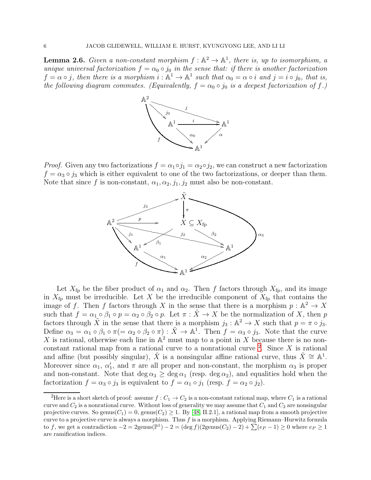<span id="page-5-0"></span>**Lemma 2.6.** *Given a non-constant morphism*  $f : \mathbb{A}^2 \to \mathbb{A}^1$ , *there is, up to isomorphism, a unique universal factorization*  $f = \alpha_0 \circ j_0$  *in the sense that: if there is another factorization*  $f = \alpha \circ j$ , then there is a morphism  $i : \mathbb{A}^1 \to \mathbb{A}^1$  such that  $\alpha_0 = \alpha \circ i$  and  $j = i \circ j_0$ , that is, *the following diagram commutes. (Equivalently,*  $f = \alpha_0 \circ j_0$  *is a deepest factorization of* f.)



*Proof.* Given any two factorizations  $f = \alpha_1 \circ j_1 = \alpha_2 \circ j_2$ , we can construct a new factorization  $f = \alpha_3 \circ j_3$  which is either equivalent to one of the two factorizations, or deeper than them. Note that since f is non-constant,  $\alpha_1, \alpha_2, j_1, j_2$  must also be non-constant.



Let  $X_{\text{fp}}$  be the fiber product of  $\alpha_1$  and  $\alpha_2$ . Then f factors through  $X_{\text{fp}}$ , and its image in  $X_{\text{fp}}$  must be irreducible. Let X be the irreducible component of  $X_{\text{fp}}$  that contains the image of f. Then f factors through X in the sense that there is a morphism  $p: \mathbb{A}^2 \to X$ such that  $f = \alpha_1 \circ \beta_1 \circ p = \alpha_2 \circ \beta_2 \circ p$ . Let  $\pi : \tilde{X} \to X$  be the normalization of X, then p factors through  $\tilde{X}$  in the sense that there is a morphism  $j_3 : \mathbb{A}^2 \to X$  such that  $p = \pi \circ j_3$ . Define  $\alpha_3 = \alpha_1 \circ \beta_1 \circ \pi (= \alpha_2 \circ \beta_2 \circ \pi) : \tilde{X} \to \mathbb{A}^1$ . Then  $f = \alpha_3 \circ j_3$ . Note that the curve X is rational, otherwise each line in  $\mathbb{A}^2$  must map to a point in X because there is no nonconstant rational map from a rational curve to a nonrational curve  $2$ . Since X is rational and affine (but possibly singular),  $\tilde{X}$  is a nonsingular affine rational curve, thus  $\tilde{X} \cong \mathbb{A}^1$ . Moreover since  $\alpha_1$ ,  $\alpha'_1$ , and  $\pi$  are all proper and non-constant, the morphism  $\alpha_3$  is proper and non-constant. Note that deg  $\alpha_3 \ge \deg \alpha_1$  (resp. deg  $\alpha_2$ ), and equalities hold when the factorization  $f = \alpha_3 \circ j_3$  is equivalent to  $f = \alpha_1 \circ j_1$  (resp.  $f = \alpha_2 \circ j_2$ ).

<span id="page-5-1"></span><sup>&</sup>lt;sup>2</sup>Here is a short sketch of proof: assume  $f: C_1 \to C_2$  is a non-constant rational map, where  $C_1$  is a rational curve and  $C_2$  is a nonrational curve. Without loss of generality we may assume that  $C_1$  and  $C_2$  are nonsingular projective curves. So genus( $C_1$ ) = 0, genus( $C_2$ )  $\geq$  1. By [\[48,](#page-25-9) II.2.1], a rational map from a smooth projective curve to a projective curve is always a morphism. Thus  $f$  is a morphism. Applying Riemann–Hurwitz formula to f, we get a contradiction  $-2 = 2$ genus $(\mathbb{P}^1) - 2 = (\text{deg } f)(2)$ genus $(C_2) - 2 + \sum_{r=1}^{\infty} (e_P - 1) \geq 0$  where  $e_P \geq 1$ are ramification indices.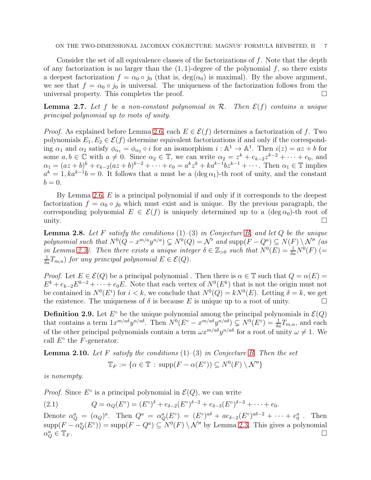Consider the set of all equivalence classes of the factorizations of f. Note that the depth of any factorization is no larger than the  $(1, 1)$ -degree of the polynomial f, so there exists a deepest factorization  $f = \alpha_0 \circ j_0$  (that is,  $\deg(\alpha_0)$  is maximal). By the above argument, we see that  $f = \alpha_0 \circ j_0$  is universal. The uniqueness of the factorization follows from the universal property. This completes the proof.

<span id="page-6-0"></span>**Lemma 2.7.** Let f be a non-constant polynomial in  $\mathcal{R}$ . Then  $\mathcal{E}(f)$  contains a unique *principal polynomial up to roots of unity.*

*Proof.* As explained before Lemma [2.6,](#page-5-0) each  $E \in \mathcal{E}(f)$  determines a factorization of f. Two polynomials  $E_1, E_2 \in \mathcal{E}(f)$  determine equivalent factorizations if and only if the corresponding  $\alpha_1$  and  $\alpha_2$  satisfy  $\phi_{\alpha_1} = \phi_{\alpha_2} \circ i$  for an isomorphism  $i : \mathbb{A}^1 \to \mathbb{A}^1$ . Then  $i(z) = az + b$  for some  $a, b \in \mathbb{C}$  with  $a \neq 0$ . Since  $\alpha_2 \in \mathbb{T}$ , we can write  $\alpha_2 = z^k + e_{k-2}z^{k-2} + \cdots + e_0$ , and  $\alpha_1 = (az + b)^k + e_{k-2}(az + b)^{k-2} + \cdots + e_0 = a^k z^k + ka^{k-1}bz^{k-1} + \cdots$ . Then  $\alpha_1 \in \mathbb{T}$  implies  $a^k = 1, ka^{k-1}b = 0$ . It follows that a must be a  $(\deg \alpha_1)$ -th root of unity, and the constant  $b=0.$ 

By Lemma [2.6,](#page-5-0)  $E$  is a principal polynomial if and only if it corresponds to the deepest factorization  $f = \alpha_0 \circ j_0$  which must exist and is unique. By the previous paragraph, the corresponding polynomial  $E \in \mathcal{E}(f)$  is uniquely determined up to a (deg  $\alpha_0$ )-th root of unity.  $\Box$ 

Lemma 2.8. *Let* F *satisfy the conditions* (1)–(3) *in Conjecture [B,](#page-2-0) and let* Q *be the unique* polynomial such that  $N^0(Q-x^{m/a}y^{n/a}) \subsetneq N^0(Q) = \mathcal{N}'$  and  $\text{supp}(F-Q^a) \subseteq N(F) \setminus \mathcal{N}''$  (as in Lemma [2.3\)](#page-3-1). Then there exists a unique integer  $\delta \in \mathbb{Z}_{>0}$  such that  $N^0(E) = \frac{1}{\delta a} N^0(F)$  (=  $\frac{1}{\delta a}T_{m,n}$  *for any principal polynomial*  $E \in \mathcal{E}(Q)$ *.* 

*Proof.* Let  $E \in \mathcal{E}(Q)$  be a principal polynomial. Then there is  $\alpha \in \mathbb{T}$  such that  $Q = \alpha(E)$  $E^k + e_{k-2}E^{k-2} + \cdots + e_0E$ . Note that each vertex of  $N^0(E^k)$  that is not the origin must not be contained in  $N^0(E^i)$  for  $i < k$ , we conclude that  $N^0(Q) = kN^0(E)$ . Letting  $\delta = k$ , we get the existence. The uniqueness of  $\delta$  is because E is unique up to a root of unity.

<span id="page-6-2"></span>**Definition 2.9.** Let  $E^{\circ}$  be the unique polynomial among the principal polynomials in  $\mathcal{E}(Q)$ that contains a term  $1x^{m/a\delta}y^{n/a\delta}$ . Then  $N^0(E^{\circ}-x^{m/a\delta}y^{n/a\delta}) \subsetneq N^0(E^{\circ})=\frac{1}{\delta a}T_{m,n}$ , and each of the other principal polynomials contain a term  $\omega x^{m/a\delta} y^{n/a\delta}$  for a root of unity  $\omega \neq 1$ . We call  $E^{\circ}$  the F-generator.

Lemma 2.10. *Let* F *satisfy the conditions* (1)–(3) *in Conjecture [B.](#page-2-0) Then the set*

<span id="page-6-1"></span>
$$
\mathbb{T}_F := \{ \alpha \in \mathbb{T} \, : \, \text{supp}(F - \alpha(E^{\circ})) \subseteq N^0(F) \setminus \mathcal{N}'' \}
$$

*is nonempty.*

*Proof.* Since  $E^{\circ}$  is a principal polynomial in  $\mathcal{E}(Q)$ , we can write

(2.1) 
$$
Q = \alpha_Q(E^{\circ}) = (E^{\circ})^{\delta} + e_{\delta - 2}(E^{\circ})^{\delta - 2} + e_{\delta - 3}(E^{\circ})^{\delta - 3} + \cdots + e_0.
$$

Denote  $\alpha_Q^a = (\alpha_Q)^a$ . Then  $Q^a = \alpha_Q^a(E^{\circ}) = (E^{\circ})^{a\delta} + ae_{\delta-2}(E^{\circ})^{a\delta-2} + \cdots + e_0^a$ . Then  $\text{supp}(F - \alpha_Q^a(E^{\circ})) = \text{supp}(F - Q^a) \subseteq N^0(F) \setminus \mathcal{N}''$  by Lemma [2.3.](#page-3-1) This gives a polynomial  $\alpha_{\mathcal{C}}^a$  $Q^a \in \mathbb{T}_F$ .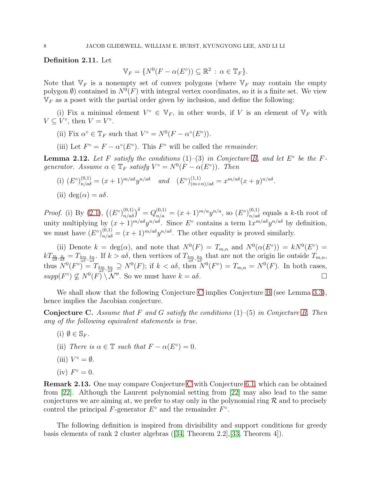<span id="page-7-2"></span>Definition 2.11. Let

$$
\mathbb{V}_F = \{ N^0(F - \alpha(E^{\circ})) \subseteq \mathbb{R}^2 \, : \, \alpha \in \mathbb{T}_F \}.
$$

Note that  $V_F$  is a nonempty set of convex polygons (where  $V_F$  may contain the empty polygon  $\emptyset$ ) contained in  $N^0(F)$  with integral vertex coordinates, so it is a finite set. We view  $V_F$  as a poset with the partial order given by inclusion, and define the following:

(i) Fix a minimal element  $V^{\circ} \in V_F$ , in other words, if V is an element of  $V_F$  with  $V \subseteq V^{\circ}$ , then  $V = V^{\circ}$ .

- (ii) Fix  $\alpha^{\circ} \in \mathbb{T}_F$  such that  $V^{\circ} = N^0(F \alpha^{\circ}(E^{\circ}))$ .
- (iii) Let  $F^{\circ} = F \alpha^{\circ}(E^{\circ})$ . This  $F^{\circ}$  will be called the *remainder*.

<span id="page-7-1"></span>**Lemma 2.12.** Let F satisfy the conditions  $(1)$ - $(3)$  in Conjecture [B,](#page-2-0) and let  $E^{\circ}$  be the F*generator.* Assume  $\alpha \in \mathbb{T}_F$  satisfy  $V^{\circ} = N^0(F - \alpha(E^{\circ}))$ . Then

- (i)  $(E^{\circ})_{n/a\delta}^{(0,1)} = (x+1)^{m/a\delta} y^{n/a\delta}$  and  $(E^{\circ})_{(m+n)/a\delta}^{(1,1)} = x^{m/a\delta} (x+y)^{n/a\delta}$ .
- (ii) deg( $\alpha$ ) =  $a\delta$ .

*Proof.* (i) By [\(2.1\)](#page-6-1),  $((E^{\circ})_{n/a\delta}^{(0,1)})^{\delta} = Q_{n/a}^{(0,1)} = (x+1)^{m/a} y^{n/a}$ , so  $(E^{\circ})_{n/a\delta}^{(0,1)}$  equals a k-th root of unity multiplying by  $(x+1)^{m/a\delta}y^{n/a\delta}$ . Since  $E^{\circ}$  contains a term  $1x^{m/a\delta}y^{n/a\delta}$  by definition, we must have  $(E^{\circ})_{n/a\delta}^{(0,1)} = (x+1)^{m/a\delta} y^{n/a\delta}$ . The other equality is proved similarly.

(ii) Denote  $k = \deg(\alpha)$ , and note that  $N^0(F) = T_{m,n}$  and  $N^0(\alpha(E^{\circ})) = kN^0(E^{\circ}) =$  $kT_{\frac{m}{a\delta},\frac{n}{a\delta}} = T_{\frac{km}{a\delta},\frac{kn}{a\delta}}$ . If  $k > a\delta$ , then vertices of  $T_{\frac{km}{a\delta},\frac{kn}{a\delta}}$  that are not the origin lie outside  $T_{m,n}$ , thus  $N^0(F^{\circ}) = T_{\frac{km}{a\delta},\frac{kn}{a\delta}} \supseteq N^0(F)$ ; if  $k < a\delta$ , then  $N^0(F^{\circ}) = T_{m,n} = N^0(F)$ . In both cases,  $supp(F^{\circ}) \nsubseteq N^{0}(F) \setminus \mathcal{N}''$ . So we must have  $k = a\delta$ .

We shall show that the following Conjecture [C](#page-7-0) implies Conjecture [B](#page-2-0) (see Lemma [3.3\)](#page-12-0), hence implies the Jacobian conjecture.

<span id="page-7-0"></span>Conjecture C. *Assume that* F *and* G *satisfy the conditions* (1)–(5) *in Conjecture [B.](#page-2-0) Then any of the following equivalent statements is true.*

- $(i)$   $\emptyset \in \mathbb{S}_F$ .
- (ii) *There is*  $\alpha \in \mathbb{T}$  *such that*  $F \alpha(E^{\circ}) = 0$ *.*
- (iii)  $V^{\circ} = \emptyset$ .
- $(iv) F^{\circ} = 0.$

Remark 2.13. One may compare Conjecture [C](#page-7-0) with Conjecture [6.1,](#page-23-7) which can be obtained from [\[22\]](#page-24-20). Although the Laurent polynomial setting from [\[22\]](#page-24-20) may also lead to the same conjectures we are aiming at, we prefer to stay only in the polynomial ring  $\mathcal R$  and to precisely control the principal  $F$ -generator  $E^{\circ}$  and the remainder  $F^{\circ}$ .

The following definition is inspired from divisibility and support conditions for greedy basis elements of rank 2 cluster algebras([\[34,](#page-24-16) Theorem 2.2],[\[33,](#page-24-17) Theorem 4]).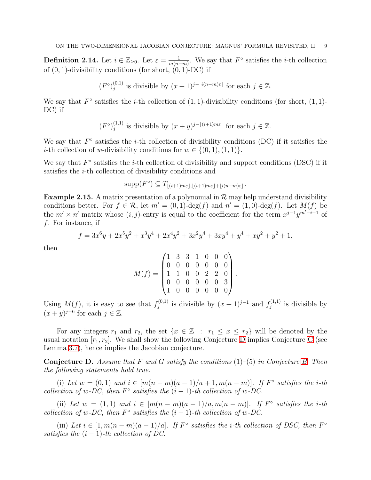**Definition 2.14.** Let  $i \in \mathbb{Z}_{\geq 0}$ . Let  $\varepsilon = \frac{1}{m(n+1)}$  $\frac{1}{m(n-m)}$ . We say that  $F^{\circ}$  satisfies the *i*-th collection of  $(0, 1)$ -divisibility conditions (for short,  $(0, 1)$ -DC) if

$$
(F^{\circ})_j^{(0,1)}
$$
 is divisible by  $(x+1)^{j-\lfloor i(n-m)\varepsilon \rfloor}$  for each  $j \in \mathbb{Z}$ .

We say that  $F^{\circ}$  satisfies the *i*-th collection of  $(1, 1)$ -divisibility conditions (for short,  $(1, 1)$ -DC) if

$$
(F^{\circ})_j^{(1,1)}
$$
 is divisible by  $(x + y)^{j - \lfloor (i+1)m\varepsilon \rfloor}$  for each  $j \in \mathbb{Z}$ .

We say that  $F^{\circ}$  satisfies the *i*-th collection of divisibility conditions (DC) if it satisfies the *i*-th collection of w-divisibility conditions for  $w \in \{(0, 1), (1, 1)\}.$ 

We say that  $F^{\circ}$  satisfies the *i*-th collection of divisibility and support conditions (DSC) if it satisfies the i-th collection of divisibility conditions and

$$
\operatorname{supp}(F^{\circ}) \subseteq T_{\lfloor (i+1)m\varepsilon \rfloor, \lfloor (i+1)m\varepsilon \rfloor + \lfloor i(n-m)\varepsilon \rfloor}.
$$

**Example 2.15.** A matrix presentation of a polynomial in  $\mathcal{R}$  may help understand divisibility conditions better. For  $f \in \mathcal{R}$ , let  $m' = (0, 1)$ -deg $(f)$  and  $n' = (1, 0)$ -deg $(f)$ . Let  $M(f)$  be the  $m' \times n'$  matrix whose  $(i, j)$ -entry is equal to the coefficient for the term  $x^{j-1}y^{m'-i+1}$  of f. For instance, if

$$
f = 3x^6y + 2x^5y^2 + x^3y^4 + 2x^4y^2 + 3x^2y^4 + 3xy^4 + y^4 + xy^2 + y^2 + 1,
$$

then

$$
M(f) = \begin{pmatrix} 1 & 3 & 3 & 1 & 0 & 0 & 0 \\ 0 & 0 & 0 & 0 & 0 & 0 & 0 \\ 1 & 1 & 0 & 0 & 2 & 2 & 0 \\ 0 & 0 & 0 & 0 & 0 & 0 & 3 \\ 1 & 0 & 0 & 0 & 0 & 0 & 0 \end{pmatrix}.
$$

Using  $M(f)$ , it is easy to see that  $f_i^{(0,1)}$  $j_j^{(0,1)}$  is divisible by  $(x + 1)^{j-1}$  and  $f_j^{(1,1)}$  $j^{(1,1)}$  is divisible by  $(x+y)^{j-6}$  for each  $j \in \mathbb{Z}$ .

For any integers  $r_1$  and  $r_2$ , the set  $\{x \in \mathbb{Z} : r_1 \leq x \leq r_2\}$  will be denoted by the usual notation  $[r_1, r_2]$ . We shall show the following Conjecture [D](#page-8-0) implies [C](#page-7-0)onjecture C (see Lemma [3.7\)](#page-15-1), hence implies the Jacobian conjecture.

<span id="page-8-0"></span>Conjecture D. *Assume that* F *and* G *satisfy the conditions* (1)–(5) *in Conjecture [B.](#page-2-0) Then the following statements hold true.*

(i) Let  $w = (0, 1)$  and  $i \in [m(n-m)(a-1)/a+1, m(n-m)]$ . If  $F^{\circ}$  satisfies the *i*-th *collection of* w-DC, then  $F^{\circ}$  satisfies the  $(i - 1)$ -th collection of w-DC.

(ii) Let  $w = (1, 1)$  and  $i \in [m(n-m)(a-1)/a, m(n-m)]$ . If  $F^{\circ}$  satisfies the *i*-th *collection of* w-DC, then  $F^{\circ}$  satisfies the  $(i - 1)$ -th collection of w-DC.

(iii) Let  $i \in [1, m(n-m)(a-1)/a]$ . If  $F^{\circ}$  satisfies the *i*-th collection of DSC, then  $F^{\circ}$ *satisfies the*  $(i - 1)$ -th collection of DC.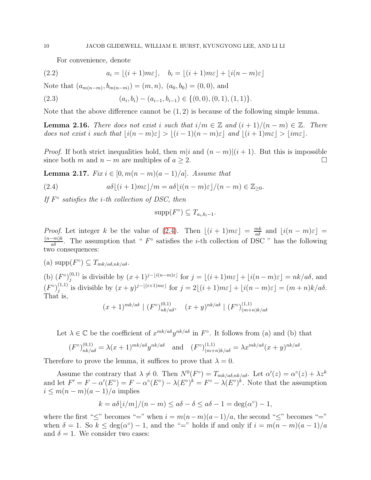<span id="page-9-4"></span><span id="page-9-1"></span>For convenience, denote

(2.2) 
$$
a_i = \lfloor (i+1)m\varepsilon \rfloor, \quad b_i = \lfloor (i+1)m\varepsilon \rfloor + \lfloor i(n-m)\varepsilon \rfloor
$$

Note that  $(a_{m(n-m)}, b_{m(n-m)}) = (m, n), (a_0, b_0) = (0, 0)$ , and

$$
(2.3) \qquad (a_i, b_i) - (a_{i-1}, b_{i-1}) \in \{ (0, 0), (0, 1), (1, 1) \}.
$$

Note that the above difference cannot be  $(1, 2)$  is because of the following simple lemma.

<span id="page-9-3"></span>**Lemma 2.16.** *There does not exist i such that*  $i/m \in \mathbb{Z}$  *and*  $(i + 1)/(n - m) \in \mathbb{Z}$ *. There does not exist i such that*  $|i(n - m)\varepsilon| > |(i - 1)(n - m)\varepsilon|$  *and*  $\lfloor (i + 1)m\varepsilon \rfloor > \lfloor im\varepsilon \rfloor$ *.* 

*Proof.* If both strict inequalities hold, then  $m|i$  and  $(n - m)|(i + 1)$ . But this is impossible since both m and  $n - m$  are multiples of  $a \geq 2$ .

<span id="page-9-2"></span>**Lemma 2.17.** *Fix i* ∈ [0,  $m(n - m)(a - 1)/a$ ]*. Assume that* 

(2.4) 
$$
a\delta\lfloor (i+1)m\varepsilon\rfloor/m = a\delta\lfloor i(n-m)\varepsilon\rfloor/(n-m) \in \mathbb{Z}_{\geq 0}.
$$

*If* F ◦ *satisfies the* i*-th collection of DSC, then*

<span id="page-9-0"></span>
$$
supp(F^{\circ}) \subseteq T_{a_i,b_i-1}.
$$

*Proof.* Let integer k be the value of [\(2.4\)](#page-9-0). Then  $\lfloor (i+1)m\varepsilon \rfloor = \frac{mk}{a\delta}$  and  $\lfloor i(n-m)\varepsilon \rfloor =$  $\frac{(n-m)k}{a\delta}$ . The assumption that "  $F^{\circ}$  satisfies the *i*-th collection of DSC " has the following two consequences:

(a)  $\text{supp}(F^{\circ}) \subseteq T_{mk/a\delta,nk/a\delta}$ .

(b)  $(F^{\circ})_i^{(0,1)}$  $j_j^{(0,1)}$  is divisible by  $(x+1)^{j-|i(n-m)\varepsilon|}$  for  $j = \lfloor (i+1)m\varepsilon \rfloor + \lfloor i(n-m)\varepsilon \rfloor = nk/a\delta$ , and  $(F^{\circ})_i^{(1,1)}$  $j_j^{(1,1)}$  is divisible by  $(x+y)^{j-\lfloor (i+1)m\varepsilon \rfloor}$  for  $j = 2\lfloor (i+1)m\varepsilon \rfloor + \lfloor i(n-m)\varepsilon \rfloor = (m+n)k/a\delta$ . That is,

$$
(x+1)^{mk/a\delta} \mid (F^{\circ})^{(0,1)}_{nk/a\delta}, \quad (x+y)^{nk/a\delta} \mid (F^{\circ})^{(1,1)}_{(m+n)k/a\delta}
$$

Let  $\lambda \in \mathbb{C}$  be the coefficient of  $x^{mk/a\delta}y^{nk/a\delta}$  in  $F^{\circ}$ . It follows from (a) and (b) that

$$
(F^{\circ})_{nk/a\delta}^{(0,1)} = \lambda(x+1)^{mk/a\delta} y^{nk/a\delta} \quad \text{and} \quad (F^{\circ})_{(m+n)k/a\delta}^{(1,1)} = \lambda x^{mk/a\delta} (x+y)^{nk/a\delta}.
$$

Therefore to prove the lemma, it suffices to prove that  $\lambda = 0$ .

Assume the contrary that  $\lambda \neq 0$ . Then  $N^0(F^{\circ}) = T_{mk/a\delta,nk/a\delta}$ . Let  $\alpha'(z) = \alpha^{\circ}(z) + \lambda z^k$ and let  $F' = F - \alpha'(E^{\circ}) = F - \alpha^{\circ}(E^{\circ}) - \lambda(E^{\circ})^k = F^{\circ} - \lambda(E^{\circ})^k$ . Note that the assumption  $i \leq m(n-m)(a-1)/a$  implies

$$
k = a\delta \lfloor i/m \rfloor / (n - m) \le a\delta - \delta \le a\delta - 1 = \deg(\alpha^{\circ}) - 1,
$$

where the first " $\leq$ " becomes "=" when  $i = m(n-m)(a-1)/a$ , the second " $\leq$ " becomes "=" when  $\delta = 1$ . So  $k \leq deg(\alpha^{\circ}) - 1$ , and the "=" holds if and only if  $i = m(n-m)(a-1)/a$ and  $\delta = 1$ . We consider two cases: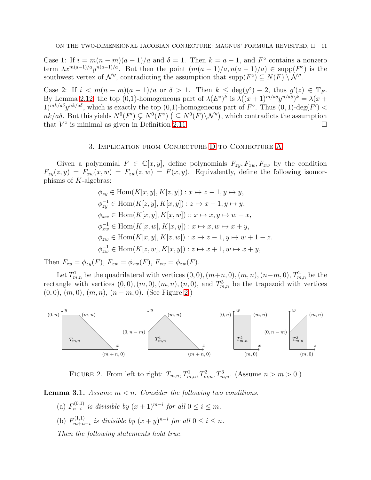Case 1: If  $i = m(n-m)(a-1)/a$  and  $\delta = 1$ . Then  $k = a - 1$ , and  $F^{\circ}$  contains a nonzero term  $\lambda x^{m(a-1)/a} y^{n(a-1)/a}$ . But then the point  $(m(a-1)/a, n(a-1)/a) \in \text{supp}(F^{\circ})$  is the southwest vertex of  $\mathcal{N}''$ , contradicting the assumption that  $\text{supp}(F^{\circ}) \subseteq N(F) \setminus \mathcal{N}''$ .

Case 2: If  $i < m(n-m)(a-1)/a$  or  $\delta > 1$ . Then  $k \leq deg(g^{\circ}) - 2$ , thus  $g'(z) \in \mathbb{T}_F$ . By Lemma [2.12,](#page-7-1) the top (0,1)-homogeneous part of  $\lambda(E^{\circ})^k$  is  $\lambda((x+1)^{m/a\delta}y^{n/a\delta})^k = \lambda(x+1)^{m/a\delta}y^{n/a\delta}$  $1)^{mk/a\delta}y^{nk/a\delta}$ , which is exactly the top  $(0,1)$ -homogeneous part of  $F^{\circ}$ . Thus  $(0,1)$ -deg $(F')$  <  $nk/a\delta$ . But this yields  $N^0(F') \subsetneq N^0(F)$   $( \subseteq N^0(F) \setminus \mathcal{N}'')$ , which contradicts the assumption that  $V^{\circ}$  is minimal as given in Definition [2.11.](#page-7-2)

## 3. Implication from Conjecture [D](#page-8-0) to Conjecture [A](#page-1-0)

Given a polynomial  $F \in \mathbb{C}[x,y]$ , define polynomials  $F_{zy}, F_{zw}, F_{zw}$  by the condition  $F_{zy}(z, y) = F_{xw}(x, w) = F_{zw}(z, w) = F(x, y)$ . Equivalently, define the following isomorphisms of K-algebras:

$$
\phi_{zy} \in \text{Hom}(K[x, y], K[z, y]) : x \mapsto z - 1, y \mapsto y,
$$
  
\n
$$
\phi_{zy}^{-1} \in \text{Hom}(K[z, y], K[x, y]) : z \mapsto x + 1, y \mapsto y,
$$
  
\n
$$
\phi_{xw} \in \text{Hom}(K[x, y], K[x, w]) : x \mapsto x, y \mapsto w - x,
$$
  
\n
$$
\phi_{xw}^{-1} \in \text{Hom}(K[x, w], K[x, y]) : x \mapsto x, w \mapsto x + y,
$$
  
\n
$$
\phi_{zw} \in \text{Hom}(K[x, y], K[z, w]) : x \mapsto z - 1, y \mapsto w + 1 - z.
$$
  
\n
$$
\phi_{zw}^{-1} \in \text{Hom}(K[z, w], K[x, y]) : z \mapsto x + 1, w \mapsto x + y,
$$

Then  $F_{zy} = \phi_{zy}(F)$ ,  $F_{xw} = \phi_{xw}(F)$ ,  $F_{zw} = \phi_{zw}(F)$ .

Let  $T_{m,n}^1$  be the quadrilateral with vertices  $(0,0)$ ,  $(m+n, 0)$ ,  $(m, n)$ ,  $(n-m, 0)$ ,  $T_{m,n}^2$  be the rectangle with vertices  $(0,0), (m, 0), (m, n), (n, 0)$ , and  $T_{m,n}^3$  be the trapezoid with vertices  $(0, 0), (m, 0), (m, n), (n - m, 0).$  (See Figure [2.](#page-10-0))



<span id="page-10-0"></span>FIGURE 2. From left to right:  $T_{m,n}, T_{m,n}^1, T_{m,n}^2, T_{m,n}^3$ . (Assume  $n > m > 0$ .)

<span id="page-10-1"></span>Lemma 3.1. *Assume* m < n*. Consider the following two conditions.*

- (a)  $F_{n-i}^{(0,1)}$  $\sum_{n-i}^{(0,1)}$  *is divisible by*  $(x+1)^{m-i}$  *for all*  $0 \le i \le m$ *.*
- (b)  $F_{m+n}^{(1,1)}$  $\lim_{m+n-i}$  *is divisible by*  $(x + y)^{n-i}$  *for all*  $0 \le i \le n$ *.*

*Then the following statements hold true.*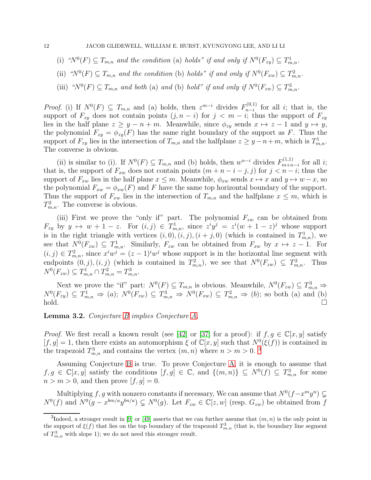- (i) " $N^0(F) \subseteq T_{m,n}$  and the condition (a) holds" if and only if  $N^0(F_{zy}) \subseteq T_{m,n}^1$ .
- (ii)  $\mathcal{C}^m(Y^0)(F) \subseteq T_{m,n}$  and the condition (b) holds" if and only if  $N^0(F_{xw}) \subseteq T_{m,n}^2$ .
- (iii) " $N^0(F) \subseteq T_{m,n}$  and both (a) and (b) hold" if and only if  $N^0(F_{zw}) \subseteq T_{m,n}^3$ .

*Proof.* (i) If  $N^0(F) \subseteq T_{m,n}$  and (a) holds, then  $z^{m-i}$  divides  $F_{n-i}^{(0,1)}$  $\sum_{n=i}^{(0,1)}$  for all *i*; that is, the support of  $F_{zy}$  does not contain points  $(j, n - i)$  for  $j < m - i$ ; thus the support of  $F_{zy}$ lies in the half plane  $z \geq y - n + m$ . Meanwhile, since  $\phi_{zy}$  sends  $x \mapsto z - 1$  and  $y \mapsto y$ , the polynomial  $F_{zy} = \phi_{zy}(F)$  has the same right boundary of the support as F. Thus the support of  $F_{zy}$  lies in the intersection of  $T_{m,n}$  and the halfplane  $z \ge y - n + m$ , which is  $T_{m,n}^1$ . The converse is obvious.

(ii) is similar to (i). If  $N^0(F) \subseteq T_{m,n}$  and (b) holds, then  $w^{n-i}$  divides  $F_{m+n}^{(1,1)}$  $\lim_{m+n-i}$  for all *i*; that is, the support of  $F_{xw}$  does not contain points  $(m + n - i - j, j)$  for  $j < n - i$ ; thus the support of  $F_{xw}$  lies in the half plane  $x \leq m$ . Meanwhile,  $\phi_{xw}$  sends  $x \mapsto x$  and  $y \mapsto w - x$ , so the polynomial  $F_{xw} = \phi_{xw}(F)$  and F have the same top horizontal boundary of the support. Thus the support of  $F_{xw}$  lies in the intersection of  $T_{m,n}$  and the halfplane  $x \leq m$ , which is  $T_{m,n}^2$ . The converse is obvious.

(iii) First we prove the "only if" part. The polynomial  $F_{zw}$  can be obtained from  $F_{zy}$  by  $y \mapsto w + 1 - z$ . For  $(i, j) \in T^1_{m,n}$ , since  $z^i y^j = z^i (w + 1 - z)^j$  whose support is in the right triangle with vertices  $(i, 0), (i, j), (i + j, 0)$  (which is contained in  $T_{m,n}^1$ ), we see that  $N^0(F_{zw}) \subseteq T^1_{m,n}$ . Similarly,  $F_{zw}$  can be obtained from  $F_{xw}$  by  $x \mapsto z-1$ . For  $(i, j) \in T_{m,n}^2$ , since  $x^i w^j = (z-1)^i w^j$  whose support is in the horizontal line segment with endpoints  $(0, j), (i, j)$  (which is contained in  $T_{m,n}^2$ ), we see that  $N^0(F_{zw}) \subseteq T_{m,n}^2$ . Thus  $N^{0}(F_{zw}) \subseteq T^{1}_{m,n} \cap T^{2}_{m,n} = T^{3}_{m,n}.$ 

Next we prove the "if" part:  $N^0(F) \subseteq T_{m,n}$  is obvious. Meanwhile,  $N^0(F_{zw}) \subseteq T_{m,n}^3 \Rightarrow$  $N^0(F_{zy}) \subseteq T^1_{m,n} \Rightarrow (a); N^0(F_{zw}) \subseteq T^3_{m,n} \Rightarrow N^0(F_{xw}) \subseteq T^2_{m,n} \Rightarrow (b);$  so both (a) and (b)  $\text{hold.}$   $\Box$ 

<span id="page-11-0"></span>Lemma 3.2. *Conjecture [B](#page-2-0) implies Conjecture [A.](#page-1-0)*

*Proof.* We first recall a known result (see [\[42\]](#page-25-10) or [\[37\]](#page-24-21) for a proof): if  $f, g \in \mathbb{C}[x, y]$  satisfy  $[f, g] = 1$ , then there exists an automorphism  $\xi$  of  $\mathbb{C}[x, y]$  such that  $N^0(\xi(f))$  is contained in the trapezoid  $T_{m,n}^3$  $T_{m,n}^3$  and contains the vertex  $(m, n)$  where  $n > m > 0$ .<sup>3</sup>

Assuming Conjecture [B](#page-2-0) is true. To prove Conjecture [A,](#page-1-0) it is enough to assume that  $f, g \in \mathbb{C}[x, y]$  satisfy the conditions  $[f, g] \in \mathbb{C}$ , and  $\{(m, n)\}\subseteq N^0(f) \subseteq T^3_{m,n}$  for some  $n > m > 0$ , and then prove  $[f, g] = 0$ .

Multiplying f, g with nonzero constants if necessary, We can assume that  $N^0(f - x^m y^n) \subsetneq$  $N^0(f)$  and  $N^0(g-x^{bm/a}y^{bn/a}) \subsetneq N^0(g)$ . Let  $F_{zw} \in \mathbb{C}[z,w]$  (resp.  $G_{zw}$ ) be obtained from f

<span id="page-11-1"></span><sup>&</sup>lt;sup>3</sup>Indeed, a stronger result in [\[9\]](#page-24-18) or [\[49\]](#page-25-8) asserts that we can further assume that  $(m, n)$  is the only point in the support of  $\xi(f)$  that lies on the top boundary of the trapezoid  $T_{m,n}^3$  (that is, the boundary line segment of  $T_{m,n}^3$  with slope 1); we do not need this stronger result.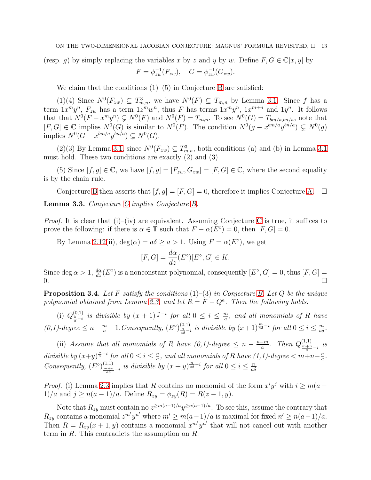(resp. q) by simply replacing the variables x by z and y by w. Define  $F, G \in \mathbb{C}[x, y]$  by

$$
F = \phi_{zw}^{-1}(F_{zw}), \quad G = \phi_{zw}^{-1}(G_{zw}).
$$

We claim that the conditions (1)–(5) in Conjecture [B](#page-2-0) are satisfied:

 $(1)(4)$  Since  $N^0(F_{zw}) \subseteq T^3_{m,n}$ , we have  $N^0(F) \subseteq T_{m,n}$  by Lemma [3.1.](#page-10-1) Since f has a term  $1x^m y^n$ ,  $F_{zw}$  has a term  $1z^m w^n$ , thus F has terms  $1x^m y^n$ ,  $1x^{m+n}$  and  $1y^n$ . It follows that that  $N^0(F - x^m y^n) \subsetneq N^0(F)$  and  $N^0(F) = T_{m,n}$ . To see  $N^0(G) = T_{bm/a, bn/a}$ , note that  $[F,G] \in \mathbb{C}$  implies  $N^0(G)$  is similar to  $N^0(F)$ . The condition  $N^0(g-x^{bm/a}y^{bn/a}) \subsetneq N^0(g)$ implies  $N^0(G-x^{bm/a}y^{bn/a}) \subsetneq N^0(G)$ .

(2)(3) By Lemma [3.1,](#page-10-1) since  $N^0(F_{zw}) \subseteq T^3_{m,n}$ , both conditions (a) and (b) in Lemma [3.1](#page-10-1) must hold. These two conditions are exactly (2) and (3).

(5) Since  $[f, g] \in \mathbb{C}$ , we have  $[f, g] = [F_{zw}, G_{zw}] = [F, G] \in \mathbb{C}$ , where the second equality is by the chain rule.

<span id="page-12-0"></span>Conjecture [B](#page-2-0) then asserts that  $[f, g] = [F, G] = 0$ , therefore it implies Conjecture [A.](#page-1-0)  $\Box$ Lemma 3.3. *Conjecture [C](#page-7-0) implies Conjecture [B.](#page-2-0)*

*Proof.* It is clear that (i)–(iv) are equivalent. Assuming [C](#page-7-0)onjecture C is true, it suffices to prove the following: if there is  $\alpha \in \mathbb{T}$  such that  $F - \alpha(E^{\circ}) = 0$ , then  $[F, G] = 0$ .

By Lemma [2.12\(](#page-7-1)ii),  $deg(\alpha) = a\delta \ge a > 1$ . Using  $F = \alpha(E^{\circ})$ , we get

$$
[F, G] = \frac{d\alpha}{dz}(E^{\circ})[E^{\circ}, G] \in K.
$$

Since deg  $\alpha > 1$ ,  $\frac{d\alpha}{dz}(E^{\circ})$  is a nonconstant polynomial, consequently  $[E^{\circ}, G] = 0$ , thus  $[F, G] =$  $\overline{a}$ .

<span id="page-12-1"></span>Proposition 3.4. *Let* F *satisfy the conditions* (1)–(3) *in Conjecture [B.](#page-2-0) Let* Q *be the unique* polynomial obtained from Lemma [2.3,](#page-3-1) and let  $R = F - Q^a$ . Then the following holds.

(i)  $Q_{\frac{n}{a}-i}^{(0,1)}$  is divisible by  $(x + 1)^{\frac{m}{a}-i}$  for all  $0 \le i \le \frac{m}{a}$  $\frac{m}{a}$ *, and all monomials of* R *have*  $(0,1)$ -degree ≤  $n-\frac{m}{a}-1$ . Consequently,  $(E^{\circ})_{\frac{n}{a\delta}-i}^{(0,1)}$  is divisible by  $(x+1)^{\frac{m}{a\delta}-i}$  for all  $0 \le i \le \frac{m}{a\delta}$ .

(ii) *Assume that all monomials of R have*  $(0,1)$ -degree  $\leq n - \frac{n-m}{q}$  $\frac{-m}{a}$ *.* Then  $Q_{\frac{m+n}{a}-i}^{(1,1)}$  is *divisible by*  $(x+y)^{\frac{n}{a}-i}$  *for all*  $0 \le i \le \frac{n}{a}$  $\frac{n}{a}$ , and all monomials of R have (1,1)-degree  $< m+n-\frac{n}{a}$  $\frac{n}{a}$ . *Consequently,*  $(E^{\circ})_{\frac{m+n}{a\delta} - i}^{(1,1)}$  *is divisible by*  $(x + y)^{\frac{n}{a\delta} - i}$  *for all*  $0 \le i \le \frac{n}{a\delta}$ *.* 

*Proof.* (i) Lemma [2.3](#page-3-1) implies that R contains no monomial of the form  $x^i y^j$  with  $i \ge m(a -$ 1)/a and  $j \ge n(a-1)/a$ . Define  $R_{zy} = \phi_{zy}(R) = R(z-1, y)$ .

Note that  $R_{zy}$  must contain no  $z^{\geq m(a-1)/a}y^{\geq n(a-1)/a}$ . To see this, assume the contrary that  $R_{zy}$  contains a monomial  $z^{m'}y^{n'}$  where  $m' \geq m(a-1)/a$  is maximal for fixed  $n' \geq n(a-1)/a$ . Then  $R = R_{zy}(x+1, y)$  contains a monomial  $x^{m'}y^{n'}$  that will not cancel out with another term in  $R$ . This contradicts the assumption on  $R$ .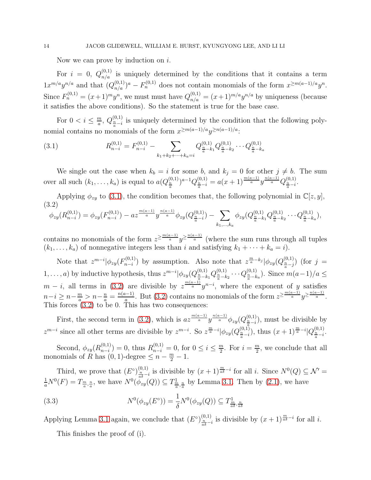Now we can prove by induction on  $i$ .

For  $i = 0$ ,  $Q_{n/a}^{(0,1)}$  is uniquely determined by the conditions that it contains a term  $1x^{m/a}y^{n/a}$  and that  $(Q_{n/a}^{(0,1)})^a - F_n^{(0,1)}$  does not contain monomials of the form  $x^{\geq m(a-1)/a}y^n$ . Since  $F_n^{(0,1)} = (x+1)^m y^n$ , we must must have  $Q_{n/a}^{(0,1)} = (x+1)^{m/a} y^{n/a}$  by uniqueness (because it satisfies the above conditions). So the statement is true for the base case.

For  $0 < i \leq \frac{m}{a}$  $\frac{m}{a}$ ,  $Q_{\frac{n}{a}-i}^{(0,1)}$  is uniquely determined by the condition that the following polynomial contains no monomials of the form  $x^{\geq m(a-1)/a}y^{\geq n(a-1)/a}$ :

<span id="page-13-0"></span>(3.1) 
$$
R_{n-i}^{(0,1)} = F_{n-i}^{(0,1)} - \sum_{k_1+k_2+\cdots+k_a=i} Q_{\frac{n}{a}-k_1}^{(0,1)} Q_{\frac{n}{a}-k_2}^{(0,1)} \cdots Q_{\frac{n}{a}-k_a}^{(0,1)}
$$

We single out the case when  $k_b = i$  for some b, and  $k_j = 0$  for other  $j \neq b$ . The sum over all such  $(k_1, \ldots, k_a)$  is equal to  $a(Q_{\frac{n}{a}}^{(0,1)})^{a-1}Q_{\frac{n}{a}-i}^{(0,1)} = a(x+1)^{\frac{m(a-1)}{a}}y^{\frac{n(a-1)}{a}}Q_{\frac{n}{a}-i}^{(0,1)}$ .

Applying  $\phi_{zy}$  to [\(3.1\)](#page-13-0), the condition becomes that, the following polynomial in  $\mathbb{C}[z, y]$ , (3.2)

<span id="page-13-1"></span>
$$
\phi_{zy}(R_{n-i}^{(0,1)}) = \phi_{zy}(F_{n-i}^{(0,1)}) - az^{\frac{m(a-1)}{a}}y^{\frac{n(a-1)}{a}}\phi_{zy}(Q_{\frac{n}{a}-i}^{(0,1)}) - \sum_{k_1,\dots,k_a} \phi_{zy}(Q_{\frac{n}{a}-k_1}^{(0,1)}Q_{\frac{n}{a}-k_2}^{(0,1)}\cdots Q_{\frac{n}{a}-k_a}^{(0,1)}),
$$

contains no monomials of the form  $z^{\geq \frac{m(a-1)}{a}}y^{\geq \frac{n(a-1)}{a}}$  (where the sum runs through all tuples  $(k_1, \ldots, k_a)$  of nonnegative integers less than i and satisfying  $k_1 + \cdots + k_a = i$ .

Note that  $z^{m-i} |\phi_{zy}(F_{n-i}^{(0,1)})|$  $h_{n-i}^{(0,1)}$ ) by assumption. Also note that  $z^{\frac{m}{a}-k_j}|\phi_{zy}(Q_{\frac{n}{a}-j}^{(0,1)})|$  (for  $j=1$ 1,...,a) by inductive hypothesis, thus  $z^{m-i} |\phi_{zy}(Q_{\frac{n}{a}-k_1}^{(0,1)} Q_{\frac{n}{a}-k_2}^{(0,1)} \cdots Q_{\frac{n}{a}-k_a}^{(0,1)})$ . Since  $m(a-1)/a \leq$  $m - i$ , all terms in [\(3.2\)](#page-13-1) are divisible by  $z^{\frac{m(a-1)}{a}}y^{n-i}$ , where the exponent of y satisfies  $n-i \geq n-\frac{m}{a} > n-\frac{n}{a} = \frac{n(a-1)}{a}$  $\frac{a^{(n-1)}}{a}$ . But [\(3.2\)](#page-13-1) contains no monomials of the form  $z^{\geq \frac{m(a-1)}{a}}y^{\geq \frac{n(a-1)}{a}}$ . This forces [\(3.2\)](#page-13-1) to be 0. This has two consequences:

First, the second term in [\(3.2\)](#page-13-1), which is  $az^{\frac{m(a-1)}{a}}y^{\frac{n(a-1)}{a}}\phi_{zy}(Q_{\frac{n}{a}-i}^{(0,1)}),$  must be divisible by  $z^{m-i}$  since all other terms are divisible by  $z^{m-i}$ . So  $z^{\frac{m}{a}-i}|\phi_{zy}(Q_{\frac{n}{a}-i}^{(0,1)}),$  thus  $(x+1)^{\frac{m}{a}-i}|Q_{\frac{n}{a}-i}^{(0,1)}$ .

Second,  $\phi_{zy}(R_{n-i}^{(0,1)})$  $(n,1)$ <sub>n−i</sub> $) = 0$ , thus  $R_{n-i}^{(0,1)} = 0$ , for  $0 \le i \le \frac{m}{2}$  $\frac{m}{2}$ . For  $i = \frac{m}{2}$  $\frac{n}{2}$ , we conclude that all monomials of  $R$  has  $(0, 1)$ -degree  $\leq n - \frac{m}{2} - 1$ .

Third, we prove that  $(E^{\circ})_{\frac{n}{a\delta} - i}^{(0,1)}$  is divisible by  $(x + 1)^{\frac{m}{a\delta} - i}$  for all *i*. Since  $N^0(Q) \subseteq \mathcal{N}'$  $\frac{1}{a}N^0(F) = T_{\frac{m}{a},\frac{n}{a}},$  we have  $N^0(\phi_{zy}(Q)) \subseteq T_{\frac{m}{a},\frac{n}{a}}$  by Lemma [3.1.](#page-10-1) Then by [\(2.1\)](#page-6-1), we have

(3.3) 
$$
N^{0}(\phi_{zy}(E^{\circ})) = \frac{1}{\delta} N^{0}(\phi_{zy}(Q)) \subseteq T^{1}_{\frac{m}{a\delta},\frac{n}{a\delta}}
$$

Applying Lemma [3.1](#page-10-1) again, we conclude that  $(E^{\circ})_{\frac{n}{a\delta} - i}^{(0,1)}$  is divisible by  $(x + 1)^{\frac{m}{a\delta} - i}$  for all *i*.

<span id="page-13-2"></span>This finishes the proof of (i).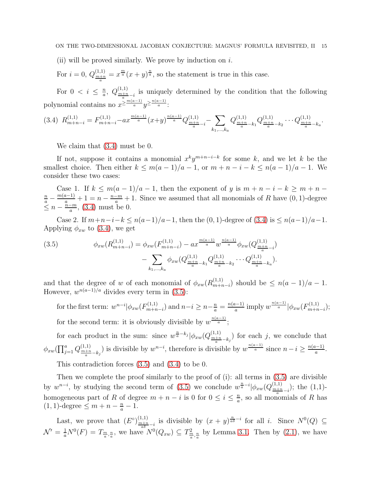### ON THE TWO-DIMENSIONAL JACOBIAN CONJECTURE: MAGNUS' FORMULA REVISITED, II 15

(ii) will be proved similarly. We prove by induction on  $i$ .

For  $i = 0$ ,  $Q_{\frac{m+n}{a}}^{(1,1)} = x^{\frac{m}{a}}(x+y)^{\frac{n}{a}}$ , so the statement is true in this case.

For  $0 < i \leq \frac{n}{a}$  $\frac{n}{a}$ ,  $Q^{(1,1)}_{\frac{m+n}{a}-i}$  is uniquely determined by the condition that the following polynomial contains no  $x^{\geq \frac{m(a-1)}{a}}y^{\geq \frac{n(a-1)}{a}}$ :

<span id="page-14-0"></span>
$$
(3.4) R_{m+n-i}^{(1,1)} = F_{m+n-i}^{(1,1)} - ax^{\frac{m(a-1)}{a}}(x+y)^{\frac{n(a-1)}{a}} Q_{\frac{m+n}{a}-i}^{(1,1)} - \sum_{k_1,\dots,k_a} Q_{\frac{m+n}{a}-k_1}^{(1,1)} Q_{\frac{m+n}{a}-k_2}^{(1,1)} \cdots Q_{\frac{m+n}{a}-k_a}^{(1,1)}.
$$

We claim that [\(3.4\)](#page-14-0) must be 0.

If not, suppose it contains a monomial  $x^k y^{m+n-i-k}$  for some k, and we let k be the smallest choice. Then either  $k \leq m(a-1)/a - 1$ , or  $m + n - i - k \leq n(a-1)/a - 1$ . We consider these two cases:

Case 1. If  $k \leq m(a-1)/a-1$ , then the exponent of y is  $m+n-i-k \geq m+n-1$  $\frac{n}{a} - \frac{m(a-1)}{a} + 1 = n - \frac{n-m}{a} + 1$ . Since we assumed that all monomials of R have  $(0, 1)$ -degree  $\leq n-\frac{n-m}{a}$  $\frac{-m}{a}$ , [\(3.4\)](#page-14-0) must be 0.

Case 2. If  $m+n-i-k \leq n(a-1)/a-1$ , then the  $(0, 1)$ -degree of  $(3.4)$  is  $\leq n(a-1)/a-1$ . Applying  $\phi_{xw}$  to [\(3.4\)](#page-14-0), we get

<span id="page-14-1"></span>(3.5) 
$$
\phi_{xw}(R_{m+n-i}^{(1,1)}) = \phi_{xw}(F_{m+n-i}^{(1,1)}) - ax^{\frac{m(a-1)}{a}} w^{\frac{n(a-1)}{a}} \phi_{xw}(Q_{\frac{m+n}{a}-i}^{(1,1)}) - \sum_{k_1,\dots,k_a} \phi_{xw}(Q_{\frac{m+n}{a}-k_1}^{(1,1)} Q_{\frac{m+n}{a}-k_2}^{(1,1)} \cdots Q_{\frac{m+n}{a}-k_a}^{(1,1)}).
$$

and that the degree of w of each monomial of  $\phi_{xw}(R_{m+r}^{(1,1)})$  $\binom{1,1}{m+n-i}$  should be  $\leq n(a-1)/a-1$ . However,  $w^{n(a-1)/a}$  divides every term in [\(3.5\)](#page-14-1):

for the first term:  $w^{n-i} |\phi_{xw}(F^{(1,1)}_{m+n})|$  $\binom{n(1,1)}{m+n-i}$  and  $n-i \geq n-\frac{n}{a} = \frac{n(a-1)}{a}$  $\frac{a^{(n-1)}}{a}$  imply  $w^{\frac{n(a-1)}{a}}|\phi_{xw}(F^{(1,1)}_{m+n})|$  $\binom{n(1,1)}{m+n-i};$ for the second term: it is obviously divisible by  $w^{\frac{n(a-1)}{a}}$ ;

for each product in the sum: since  $w^{\frac{n}{a}-k_j}|\phi_{xw}(Q_{\frac{m+n}{a}-k_j}^{(1,1)})$  for each j, we conclude that  $\phi_{xw}(\prod_{j=1}^a Q_{\frac{m+n}{a}-k_j}^{(1,1)})$  is divisible by  $w^{n-i}$ , therefore is divisible by  $w^{\frac{n(a-1)}{a}}$  since  $n-i \geq \frac{n(a-1)}{a}$  $rac{(-1)}{a}$ .

This contradiction forces [\(3.5\)](#page-14-1) and [\(3.4\)](#page-14-0) to be 0.

Then we complete the proof similarly to the proof of (i): all terms in [\(3.5\)](#page-14-1) are divisible by  $w^{n-i}$ , by studying the second term of [\(3.5\)](#page-14-1) we conclude  $w^{\frac{n}{a}-i}|\phi_{xw}(Q_{\frac{m+n}{a}-i}^{(1,1)})$ ; the (1,1)homogeneous part of R of degree  $m + n - i$  is 0 for  $0 \le i \le \frac{n}{a}$  $\frac{n}{a}$ , so all monomials of R has  $(1, 1)$ -degree  $\leq m + n - \frac{n}{a} - 1$ .

Last, we prove that  $(E^{\circ})_{\frac{m+n}{a\delta}-i}^{(1,1)}$  is divisible by  $(x+y)^{\frac{n}{a\delta}-i}$  for all i. Since  $N^0(Q) \subseteq$  $\mathcal{N}' = \frac{1}{a} N^0(F) = T_{\frac{m}{a},\frac{n}{a}}$ , we have  $N^0(Q_{xw}) \subseteq T_{\frac{m}{a},\frac{n}{a}}^2$  by Lemma [3.1.](#page-10-1) Then by [\(2.1\)](#page-6-1), we have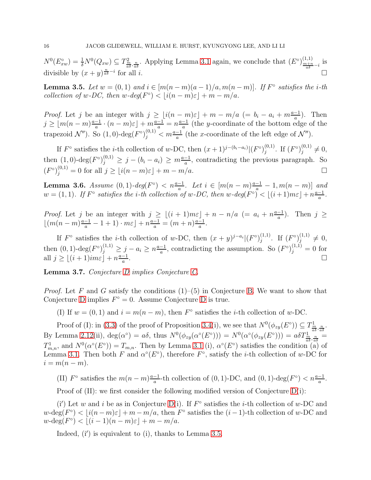$N^0(E_{xw}^{\circ}) = \frac{1}{\delta} N^0(Q_{xw}) \subseteq T^2_{\frac{m}{a\delta},\frac{n}{a\delta}}$ . Applying Lemma [3.1](#page-10-1) again, we conclude that  $(E^{\circ})_{\frac{m+n}{a\delta} - i}^{(1,1)}$  is divisible by  $(x+y)^{\frac{n}{a\delta}-i}$ for all  $i$ .

<span id="page-15-0"></span>**Lemma 3.5.** Let  $w = (0, 1)$  and  $i \in [m(n-m)(a-1)/a, m(n-m)]$ . If  $F^{\circ}$  satisfies the *i*-th *collection of*  $w$ -*DC*, then  $w$ -deg $(F^{\circ}) < [i(n-m)\varepsilon] + m - m/a$ .

*Proof.* Let j be an integer with  $j \geq \lfloor i(n-m)\varepsilon \rfloor + m - m/a$  (=  $b_i - a_i + m\frac{a-1}{a}$ ). Then  $j \geq \lfloor m(n-m)\frac{a-1}{a} \rfloor$  $\frac{-1}{a} \cdot (n-m)\varepsilon \rfloor + m\frac{a-1}{a} = n\frac{a-1}{a}$  $\frac{-1}{a}$  (the y-coordinate of the bottom edge of the trapezoid  $\mathcal{N}''$ ). So  $(1,0)$ -deg $(F^{\circ})_j^{(0,1)} < m \frac{a-1}{a}$  (the x-coordinate of the left edge of  $\mathcal{N}''$ ).

If  $F^{\circ}$  satisfies the *i*-th collection of w-DC, then  $(x+1)^{j-(b_i-a_i)}|(F^{\circ})_i^{(0,1)}$  $j^{(0,1)}$ . If  $(F^{\circ})_j^{(0,1)}$  $j^{(0,1)} \neq 0,$ then  $(1,0)$ -deg $(F^{\circ})_j^{(0,1)} \geq j - (b_i - a_i) \geq m \frac{a-1}{a}$ , contradicting the previous paragraph. So  $(F^{\circ})_j^{(0,1)} = 0$  for all  $j \geq \lfloor i(n-m)\varepsilon \rfloor + m - m/a.$ 

<span id="page-15-2"></span>**Lemma 3.6.** *Assume*  $(0, 1)$ *-deg* $(F^{\circ}) < n^{\frac{a-1}{a}}$ *. Let*  $i \in [m(n-m)^{\frac{a-1}{a}} - 1, m(n-m)]$  and  $w = (1, 1)$ . If  $F^{\circ}$  satisfies the *i*-th collection of w-DC, then  $w$ -deg $(F^{\circ}) < |(i+1)m\varepsilon| + n\frac{a-1}{a}$  $\frac{-1}{a}$ .

*Proof.* Let j be an integer with  $j \geq \lfloor (i+1)m\varepsilon \rfloor + n - n/a$  (=  $a_i + n\frac{a-1}{a}$ )  $\frac{-1}{a}$ ). Then  $j \geq$  $\lfloor (m(n-m)\frac{a-1}{a} - 1 + 1) \cdot m\varepsilon \rfloor + n\frac{a-1}{a} = (m+n)\frac{a-1}{a}$  $\frac{-1}{a}$ .

If  $F^{\circ}$  satisfies the *i*-th collection of w-DC, then  $(x + y)^{j-a_i} | (F^{\circ})_i^{(1,1)}$  $j^{(1,1)}$ . If  $(F^{\circ})_j^{(1,1)}$  $j^{(1,1)} \neq 0,$ then  $(0, 1)$ -deg $(F^{\circ})_j^{(1,1)} \geq j - a_i \geq n \frac{a-1}{a}$  $\frac{-1}{a}$ , contradicting the assumption. So  $(F^{\circ})_j^{(1,1)} = 0$  for all  $j \geq \lfloor (i+1)im\varepsilon \rfloor + n\frac{a-1}{a}$  $\frac{-1}{a}$ .

<span id="page-15-1"></span>Lemma 3.7. *Conjecture [D](#page-8-0) implies Conjecture [C.](#page-7-0)*

*Proof.* Let F and G satisfy the conditions  $(1)$ – $(5)$  in Conjecture [B.](#page-2-0) We want to show that Conjecture [D](#page-8-0) implies  $F^{\circ} = 0$ . Assume Conjecture D is true.

(I) If  $w = (0, 1)$  and  $i = m(n - m)$ , then  $F^{\circ}$  satisfies the *i*-th collection of w-DC.

Proof of (I): in [\(3.3\)](#page-13-2) of the proof of Proposition [3.4\(](#page-12-1)i), we see that  $N^0(\phi_{zy}(E^{\circ})) \subseteq T^1_{\frac{m}{a\delta},\frac{n}{a\delta}}$ . By Lemma [2.12\(](#page-7-1)ii),  $deg(\alpha^{\circ}) = a\delta$ , thus  $N^{0}(\phi_{zy}(\alpha^{\circ}(E^{\circ}))) = N^{0}(\alpha^{\circ}(\phi_{zy}(E^{\circ}))) = a\delta T^{\frac{1}{m}}_{\frac{a}{a\delta},\frac{n}{a\delta}} =$  $T_{m,n}^1$ , and  $N^0(\alpha^{\circ}(E^{\circ})) = T_{m,n}$ . Then by Lemma [3.1](#page-10-1) (i),  $\alpha^{\circ}(E^{\circ})$  satisfies the condition (a) of Lemma [3.1.](#page-10-1) Then both F and  $\alpha^{\circ}(E^{\circ})$ , therefore  $F^{\circ}$ , satisfy the *i*-th collection of w-DC for  $i = m(n-m)$ .

(II)  $F^{\circ}$  satisfies the  $m(n-m)\frac{a-1}{a}$  $\frac{-1}{a}$ -th collection of (0, 1)-DC, and (0, 1)-deg( $F^{\circ}$ ) <  $n\frac{a-1}{a}$ .

Proof of (II): we first consider the following modified version of Conjecture [D\(](#page-8-0)i):

(i') Let w and i be as in Conjecture [D\(](#page-8-0)i). If  $F^{\circ}$  satisfies the *i*-th collection of w-DC and  $w$ -deg $(F^{\circ}) < \lfloor i(n-m)\varepsilon \rfloor + m - m/a$ , then  $F^{\circ}$  satisfies the  $(i-1)$ -th collection of w-DC and  $w\text{-deg}(F^{\circ}) < \lfloor (i-1)(n-m)\varepsilon \rfloor + m - m/a.$ 

Indeed,  $(i')$  is equivalent to  $(i)$ , thanks to Lemma [3.5.](#page-15-0)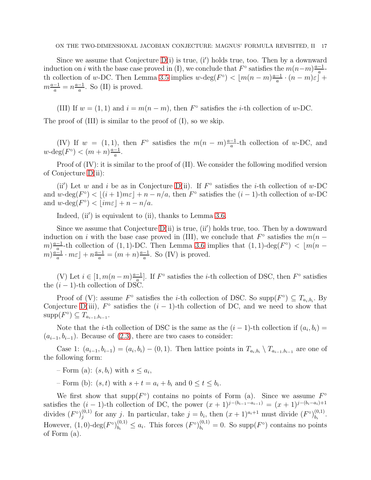#### ON THE TWO-DIMENSIONAL JACOBIAN CONJECTURE: MAGNUS' FORMULA REVISITED, II 17

Since we assume that Conjecture  $D(i)$  is true, (i') holds true, too. Then by a downward induction on i with the base case proved in (I), we conclude that  $F^{\circ}$  satisfies the  $m(n-m)\frac{a-1}{a}$ th collection of w-DC. Then Lemma [3.5](#page-15-0) implies  $w$ -deg( $F^{\circ}$ )  $\lt [m(n-m)\frac{a-1}{a} \cdot (n-m)\varepsilon]$  $\frac{-1}{a} \cdot (n-m)\varepsilon \rfloor +$  $m\frac{a-1}{a} = n\frac{a-1}{a}$  $\frac{-1}{a}$ . So (II) is proved.

(III) If  $w = (1, 1)$  and  $i = m(n - m)$ , then  $F^{\circ}$  satisfies the *i*-th collection of w-DC.

The proof of (III) is similar to the proof of (I), so we skip.

(IV) If  $w = (1, 1)$ , then  $F^{\circ}$  satisfies the  $m(n-m)\frac{a-1}{a}$  $\frac{-1}{a}$ -th collection of w-DC, and  $w$ -deg $(F^{\circ}) < (m+n)\frac{a-1}{a}$  $\frac{-1}{a}$ .

Proof of  $(IV)$ : it is similar to the proof of  $(II)$ . We consider the following modified version of Conjecture [D\(](#page-8-0)ii):

(ii') Let w and i be as in Conjecture [D\(](#page-8-0)ii). If  $F^{\circ}$  satisfies the *i*-th collection of w-DC and  $w$ -deg $(F^{\circ}) < |(i+1)m\varepsilon| + n - n/a$ , then  $F^{\circ}$  satisfies the  $(i-1)$ -th collection of  $w$ -DC and  $w$ -deg $(F^{\circ}) < \lfloor im\varepsilon \rfloor + n - n/a$ .

Indeed, (ii') is equivalent to (ii), thanks to Lemma [3.6.](#page-15-2)

Since we assume that Conjecture  $D(i)$  is true,  $(ii')$  holds true, too. Then by a downward induction on i with the base case proved in (III), we conclude that  $F^{\circ}$  satisfies the  $m(n (m) \frac{a-1}{a}$ -th collection of (1, 1)-DC. Then Lemma [3.6](#page-15-2) implies that (1, 1)-deg( $F^{\circ}$ ) <  $\lfloor m(n-1) \rfloor$  $\binom{m}{m} \frac{a-1}{a}$  $\frac{-1}{a} \cdot m\varepsilon$  | +  $n\frac{a-1}{a} = (m+n)\frac{a-1}{a}$  $\frac{-1}{a}$ . So (IV) is proved.

(V) Let  $i \in [1, m(n-m)\frac{a-1}{a}]$  $\frac{-1}{a}$ . If  $F^{\circ}$  satisfies the *i*-th collection of DSC, then  $F^{\circ}$  satisfies the  $(i - 1)$ -th collection of DSC.

Proof of (V): assume  $F^{\circ}$  satisfies the *i*-th collection of DSC. So supp $(F^{\circ}) \subseteq T_{a_i,b_i}$ . By Conjecture [D\(](#page-8-0)iii),  $F^{\circ}$  satisfies the  $(i-1)$ -th collection of DC, and we need to show that  $supp(F^{\circ}) \subseteq T_{a_{i-1},b_{i-1}}.$ 

Note that the *i*-th collection of DSC is the same as the  $(i-1)$ -th collection if  $(a_i, b_i)$  =  $(a_{i-1}, b_{i-1})$ . Because of  $(2.3)$ , there are two cases to consider:

Case 1:  $(a_{i-1}, b_{i-1}) = (a_i, b_i) - (0, 1)$ . Then lattice points in  $T_{a_i, b_i} \setminus T_{a_{i-1}, b_{i-1}}$  are one of the following form:

 $-$  Form (a):  $(s, b_i)$  with  $s \leq a_i$ ,

- Form (b):  $(s, t)$  with  $s + t = a_i + b_i$  and  $0 \le t \le b_i$ .

We first show that supp $(F^{\circ})$  contains no points of Form (a). Since we assume  $F^{\circ}$ satisfies the  $(i - 1)$ -th collection of DC, the power  $(x + 1)^{j-(b_{i-1}-a_{i-1})} = (x + 1)^{j-(b_i-a_i)+1}$ divides  $(F^{\circ})_i^{(0,1)}$  $j^{(0,1)}$  for any j. In particular, take  $j = b_i$ , then  $(x + 1)^{a_i+1}$  must divide  $(F^{\circ})_{b_i}^{(0,1)}$  $\frac{(0,1)}{b_i}$ . However,  $(1,0)$ -deg $(F^{\circ})_{b_i}^{(0,1)} \leq a_i$ . This forces  $(F^{\circ})_{b_i}^{(0,1)}$  $b_i^{(0,1)} = 0$ . So supp $(F^{\circ})$  contains no points of Form (a).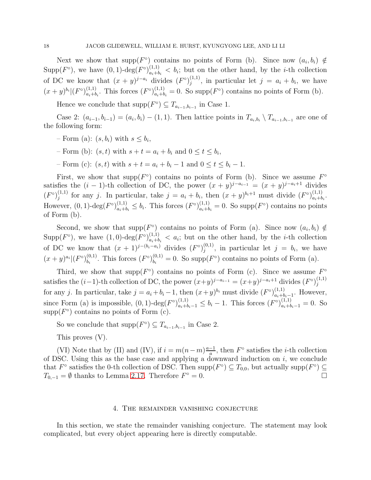Next we show that supp( $F^{\circ}$ ) contains no points of Form (b). Since now  $(a_i, b_i) \notin$ Supp $(F^{\circ})$ , we have  $(0, 1)$ -deg $(F^{\circ})_{a+h}^{(1,1)}$  $a_{i+b_i}^{(1,1)} < b_i$ ; but on the other hand, by the *i*-th collection of DC we know that  $(x + y)^{j-a_i}$  divides  $(F^{\circ})_j^{(1,1)}$  $j_j^{(1,1)}$ , in particular let  $j = a_i + b_i$ , we have  $(x+y)^{b_i} |(F^{\circ})_{a_i+b}^{(1,1)}$  $_{a_i+b_i}^{(1,1)}$ . This forces  $(F^{\circ})_{a_i+b_i}^{(1,1)} = 0$ . So supp $(F^{\circ})$  contains no points of Form (b).

Hence we conclude that  $\text{supp}(F^{\circ}) \subseteq T_{a_{i-1},b_{i-1}}$  in Case 1.

Case 2:  $(a_{i-1}, b_{i-1}) = (a_i, b_i) - (1, 1)$ . Then lattice points in  $T_{a_i, b_i} \setminus T_{a_{i-1}, b_{i-1}}$  are one of the following form:

- $-$  Form (a):  $(s, b_i)$  with  $s \leq b_i$ ,
- Form (b):  $(s, t)$  with  $s + t = a_i + b_i$  and  $0 \le t \le b_i$ ,
- Form (c):  $(s, t)$  with  $s + t = a_i + b_i 1$  and  $0 \le t \le b_i 1$ .

First, we show that supp( $F^{\circ}$ ) contains no points of Form (b). Since we assume  $F^{\circ}$ satisfies the  $(i-1)$ -th collection of DC, the power  $(x+y)^{j-a_{i-1}} = (x+y)^{j-a_{i+1}}$  divides  $(F^{\circ})_i^{(1,1)}$  $j_j^{(1,1)}$  for any j. In particular, take  $j = a_i + b_i$ , then  $(x + y)^{b_i+1}$  must divide  $(F^{\circ})_{a_i+b_i}^{(1,1)}$  $\frac{(1,1)}{a_i+b_i}$ . However,  $(0, 1)$ -deg $(F^{\circ})_{a_i+b_i}^{(1,1)} \leq b_i$ . This forces  $(F^{\circ})_{a_i+b_i}^{(1,1)} = 0$ . So supp $(F^{\circ})$  contains no points of Form (b).

Second, we show that supp $(F^{\circ})$  contains no points of Form (a). Since now  $(a_i, b_i) \notin$ Supp $(F^{\circ})$ , we have  $(1,0)$ -deg $(F^{\circ})_{a_i+b_i}^{(1,1)} < a_i$ ; but on the other hand, by the *i*-th collection of DC we know that  $(x + 1)^{j-(b_i - a_i)}$  divides  $(F^{\circ})_i^{(0,1)}$  $j^{(0,1)}$ , in particular let  $j = b_i$ , we have  $(x+y)^{a_i} |(F^{\circ})_{b_i}^{(0,1)}$  $_{b_i}^{(0,1)}$ . This forces  $(F^{\circ})_{b_i}^{(0,1)}$  $b_i^{(0,1)} = 0$ . So supp $(F^{\circ})$  contains no points of Form (a).

Third, we show that  $\text{supp}(F^{\circ})$  contains no points of Form (c). Since we assume  $F^{\circ}$ satisfies the  $(i-1)$ -th collection of DC, the power  $(x+y)^{j-a_{i-1}} = (x+y)^{j-a_i+1}$  divides  $(F^{\circ})_i^{(1,1)}$ j for any j. In particular, take  $j = a_i + b_i - 1$ , then  $(x+y)^{b_i}$  must divide  $(F^{\circ})_{a_i+b_i}^{(1,1)}$  $a_i+b_i-1$ . However, since Form (a) is impossible,  $(0, 1)$ -deg $(F^{\circ})_{a_i+b_i-1}^{(1,1)} \leq b_i - 1$ . This forces  $(F^{\circ})_{a_i+b_i-1}^{(1,1)} = 0$ . So  $\text{supp}(F^{\circ})$  contains no points of Form (c).

So we conclude that  $\text{supp}(F^{\circ}) \subseteq T_{a_{i-1},b_{i-1}}$  in Case 2.

This proves (V).

(VI) Note that by (II) and (IV), if  $i = m(n-m)\frac{a-1}{a}$  $\frac{-1}{a}$ , then  $F^{\circ}$  satisfies the *i*-th collection of DSC. Using this as the base case and applying a downward induction on  $i$ , we conclude that  $F^{\circ}$  satisfies the 0-th collection of DSC. Then supp $(F^{\circ}) \subseteq T_{0,0}$ , but actually supp $(F^{\circ}) \subseteq$  $T_{0,-1} = \emptyset$  thanks to Lemma [2.17.](#page-9-2) Therefore  $F^{\circ} = 0$ .

## 4. The remainder vanishing conjecture

In this section, we state the remainder vanishing conjecture. The statement may look complicated, but every object appearing here is directly computable.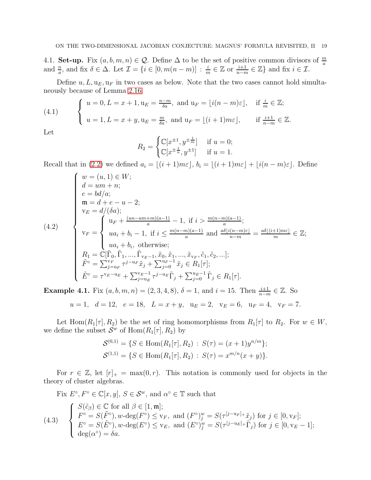4.1. Set-up. Fix  $(a, b, m, n) \in \mathcal{Q}$ . Define  $\Delta$  to be the set of positive common divisors of  $\frac{m}{a}$ and  $\frac{n}{a}$ , and fix  $\delta \in \Delta$ . Let  $\mathcal{I} = \{i \in [0, m(n-m)] : \frac{i}{m} \in \mathbb{Z} \text{ or } \frac{i+1}{n-m} \in \mathbb{Z}\}\)$  and fix  $i \in \mathcal{I}$ .

Define  $u, L, u<sub>E</sub>, u<sub>F</sub>$  in two cases as below. Note that the two cases cannot hold simultaneously because of Lemma [2.16.](#page-9-3)

<span id="page-18-0"></span>(4.1) 
$$
\begin{cases} u = 0, L = x + 1, u_E = \frac{n-m}{\delta a}, \text{ and } u_F = \lfloor i(n-m)\varepsilon \rfloor, & \text{if } \frac{i}{m} \in \mathbb{Z};\\ u = 1, L = x + y, u_E = \frac{m}{\delta a}, \text{ and } u_F = \lfloor (i+1)m\varepsilon \rfloor, & \text{if } \frac{i+1}{n-m} \in \mathbb{Z}. \end{cases}
$$

Let

$$
R_2 = \begin{cases} \mathbb{C}[x^{\pm 1}, y^{\pm \frac{1}{m}}] & \text{if } u = 0; \\ \mathbb{C}[x^{\pm \frac{1}{n}}, y^{\pm 1}] & \text{if } u = 1. \end{cases}
$$

Recall that in [\(2.2\)](#page-9-4) we defined  $a_i = \lfloor (i+1)m\varepsilon \rfloor, b_i = \lfloor (i+1)m\varepsilon \rfloor + \lfloor i(n-m)\varepsilon \rfloor$ . Define

<span id="page-18-1"></span>
$$
(4.2)
$$
\n
$$
\begin{cases}\nw = (u, 1) \in W; \\
d = um + n; \\
e = bd/a; \\
\mathfrak{m} = d + e - u - 2; \\
v_E = d/(\delta a); \\
v_F = \begin{cases}\nu_F + \frac{(un - um + m)(a - 1)}{a} - 1, & \text{if } i > \frac{m(n - m)(a - 1)}{a}; \\
u_{\xi} + b_i - 1, & \text{if } i \le \frac{m(n - m)(a - 1)}{a} \text{ and } \frac{a\delta[i(n - m)\varepsilon]}{n - m} = \frac{a\delta[(i + 1)m\varepsilon]}{m} \in \mathbb{Z}; \\
u_{\xi} + b_i, & \text{otherwise}; \\
R_1 = \mathbb{C}[\tilde{\Gamma}_0, \tilde{\Gamma}_1, ..., \tilde{\Gamma}_{v_E - 1}, \tilde{x}_0, \tilde{x}_1, ..., \tilde{x}_{v_F}, \tilde{c}_1, \tilde{c}_2, ...]; \\
\tilde{F}^{\circ} = \sum_{j=u_F}^{v_F} \tau^{j-u_F} \tilde{x}_j + \sum_{j=0}^{u_F - 1} \tilde{x}_j \in R_1[\tau]; \\
\tilde{E}^{\circ} = \tau^{v_E - u_E} + \sum_{j=u_E}^{v_E - 1} \tau^{j-u_E} \tilde{\Gamma}_j + \sum_{j=0}^{u_E - 1} \tilde{\Gamma}_j \in R_1[\tau].\n\end{cases}
$$

**Example 4.1.** Fix  $(a, b, m, n) = (2, 3, 4, 8), \delta = 1$ , and  $i = 15$ . Then  $\frac{i+1}{n-m} \in \mathbb{Z}$ . So  $u = 1, d = 12, e = 18, L = x + y, u<sub>E</sub> = 2, v<sub>E</sub> = 6, u<sub>F</sub> = 4, v<sub>F</sub> = 7.$ 

Let Hom $(R_1[\tau], R_2)$  be the set of ring homomorphisms from  $R_1[\tau]$  to  $R_2$ . For  $w \in W$ , we define the subset  $\mathcal{S}^w$  of  $\text{Hom}(R_1[\tau], R_2)$  by

$$
S^{(0,1)} = \{ S \in \text{Hom}(R_1[\tau], R_2) : S(\tau) = (x+1)y^{n/m} \};
$$
  

$$
S^{(1,1)} = \{ S \in \text{Hom}(R_1[\tau], R_2) : S(\tau) = x^{m/n}(x+y) \}.
$$

For  $r \in \mathbb{Z}$ , let  $[r]_+ = \max(0, r)$ . This notation is commonly used for objects in the theory of cluster algebras.

<span id="page-18-2"></span>Fix 
$$
E^{\circ}
$$
,  $F^{\circ} \in \mathbb{C}[x, y]$ ,  $S \in \mathcal{S}^{w}$ , and  $\alpha^{\circ} \in \mathbb{T}$  such that  
\n
$$
\begin{cases}\nS(\tilde{c}_{\beta}) \in \mathbb{C} \text{ for all } \beta \in [1, \mathfrak{m}]; \\
F^{\circ} = S(\tilde{F}^{\circ}), w-\deg(F^{\circ}) \leq \mathbf{v}_{F}, \text{ and } (F^{\circ})_{j}^{w} = S(\tau^{[j-u_{F}]_{+}}\tilde{x}_{j}) \text{ for } j \in [0, \mathbf{v}_{F}]; \\
E^{\circ} = S(\tilde{E}^{\circ}), w-\deg(E^{\circ}) \leq \mathbf{v}_{E}, \text{ and } (E^{\circ})_{j}^{w} = S(\tau^{[j-u_{E}]_{+}}\tilde{\Gamma}_{j}) \text{ for } j \in [0, \mathbf{v}_{E}-1]; \\
\deg(\alpha^{\circ}) = \delta a.\n\end{cases}
$$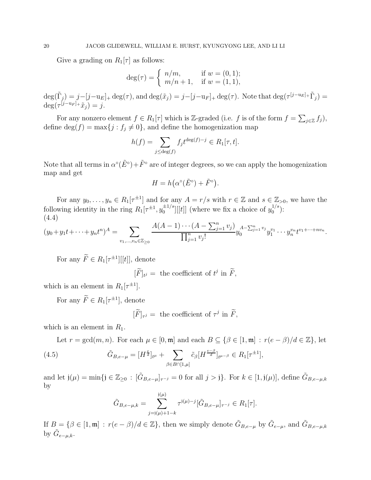Give a grading on  $R_1[\tau]$  as follows:

$$
\deg(\tau) = \begin{cases} n/m, & \text{if } w = (0, 1); \\ m/n + 1, & \text{if } w = (1, 1), \end{cases}
$$

 $\deg(\tilde{\Gamma}_j) = j - [j - u_E]_+ \deg(\tau)$ , and  $\deg(\tilde{x}_j) = j - [j - u_F]_+ \deg(\tau)$ . Note that  $\deg(\tau^{[j - u_E]_+} \tilde{\Gamma}_j) =$  $\deg(\tau^{[j-u_F]_+}\tilde{x}_j) = j.$ 

For any nonzero element  $f \in R_1[\tau]$  which is Z-graded (i.e. f is of the form  $f = \sum_{j \in \mathbb{Z}} f_j$ ), define  $\deg(f) = \max\{j : f_j \neq 0\}$ , and define the homogenization map

$$
h(f) = \sum_{j \le \deg(f)} f_j t^{\deg(f) - j} \in R_1[\tau, t].
$$

Note that all terms in  $\alpha^{\circ}(\tilde{E}^{\circ}) + \tilde{F}^{\circ}$  are of integer degrees, so we can apply the homogenization map and get

$$
H = h(\alpha^{\circ}(\tilde{E}^{\circ}) + \tilde{F}^{\circ}).
$$

For any  $y_0, \ldots, y_n \in R_1[\tau^{\pm 1}]$  and for any  $A = r/s$  with  $r \in \mathbb{Z}$  and  $s \in \mathbb{Z}_{>0}$ , we have the following identity in the ring  $R_1[\tau^{\pm 1}, y_0^{\pm 1/s}]$  $\frac{\pm 1/s}{0}[[t]]$  (where we fix a choice of  $y_0^{1/s}$  $_{0}^{1/3}$ ): (4.4)

$$
(y_0 + y_1t + \dots + y_nt^n)^A = \sum_{v_1, \dots, v_n \in \mathbb{Z}_{\geq 0}} \frac{A(A-1) \cdots (A - \sum_{j=1}^n v_j)}{\prod_{j=1}^n v_j!} y_0^{A - \sum_{j=1}^n v_j} y_1^{v_1} \cdots y_n^{v_n} t^{v_1 + \dots + n v_n}.
$$

For any  $F \in R_1[\tau^{\pm 1}][[t]]$ , denote

 $[\tilde{F}]_{t} =$  the coefficient of  $t^j$  in  $\tilde{F}$ ,

which is an element in  $R_1[\tau^{\pm 1}]$ .

For any  $F \in R_1[\tau^{\pm 1}]$ , denote

 $[\widetilde{F}]_{\tau^{j}} = \text{ the coefficient of } \tau^{j} \text{ in } \widetilde{F},$ 

which is an element in  $R_1$ .

Let  $r = \gcd(m, n)$ . For each  $\mu \in [0, \mathfrak{m}]$  and each  $B \subseteq \{\beta \in [1, \mathfrak{m}] : r(e - \beta)/d \in \mathbb{Z}\}$ , let

(4.5) 
$$
\tilde{G}_{B,e-\mu} = [H^{\frac{e}{d}}]_{t^{\mu}} + \sum_{\beta \in B \cap [1,\mu]} \tilde{c}_{\beta} [H^{\frac{e-\beta}{d}}]_{t^{\mu-\beta}} \in R_1[\tau^{\pm 1}],
$$

and let  $j(\mu) = \min\{j \in \mathbb{Z}_{\geq 0} : [\tilde{G}_{B,e-\mu}]_{\tau^{-j}} = 0 \text{ for all } j > j\}.$  For  $k \in [1, j(\mu)]$ , define  $\tilde{G}_{B,e-\mu,k}$ by

<span id="page-19-0"></span>
$$
\tilde{G}_{B,e-\mu,k} = \sum_{j=j(\mu)+1-k}^{j(\mu)} \tau^{j(\mu)-j} [\tilde{G}_{B,e-\mu}]_{\tau^{-j}} \in R_1[\tau].
$$

If  $B = \{\beta \in [1, \mathfrak{m}] : r(e - \beta)/d \in \mathbb{Z}\}\$ , then we simply denote  $\tilde{G}_{B,e-\mu}$  by  $\tilde{G}_{e-\mu}$ , and  $\tilde{G}_{B,e-\mu,k}$ by  $\tilde{G}_{e-\mu,k}$ .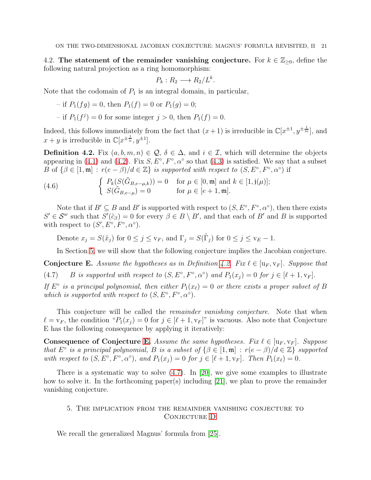4.2. The statement of the remainder vanishing conjecture. For  $k \in \mathbb{Z}_{\geq 0}$ , define the following natural projection as a ring homomorphism:

$$
P_k: R_2 \longrightarrow R_2/L^k.
$$

Note that the codomain of  $P_1$  is an integral domain, in particular,

- if 
$$
P_1(fg) = 0
$$
, then  $P_1(f) = 0$  or  $P_1(g) = 0$ ;

- if  $P_1(f^j) = 0$  for some integer  $j > 0$ , then  $P_1(f) = 0$ .

Indeed, this follows immediately from the fact that  $(x+1)$  is irreducible in  $\mathbb{C}[x^{\pm 1}, y^{\pm \frac{1}{m}}]$ , and  $x + y$  is irreducible in  $\mathbb{C}[x^{\pm \frac{1}{n}}, y^{\pm 1}].$ 

<span id="page-20-1"></span>Definition 4.2. Fix  $(a, b, m, n) \in \mathcal{Q}, \delta \in \Delta$ , and  $i \in \mathcal{I}$ , which will determine the objects appearing in [\(4.1\)](#page-18-0) and [\(4.2\)](#page-18-1). Fix  $S, E^{\circ}, F^{\circ}, \alpha^{\circ}$  so that [\(4.3\)](#page-18-2) is satisfied. We say that a subset B of  $\{\beta \in [1, \mathfrak{m}] : r(e - \beta)/d \in \mathbb{Z}\}\$ is supported with respect to  $(S, E^{\circ}, F^{\circ}, \alpha^{\circ})$  if

(4.6) 
$$
\begin{cases} P_k(S(\tilde{G}_{B,e-\mu,k})) = 0 & \text{for } \mu \in [0, \mathfrak{m}] \text{ and } k \in [1, j(\mu)]; \\ S(\tilde{G}_{B,e-\mu}) = 0 & \text{for } \mu \in [e+1, \mathfrak{m}]. \end{cases}
$$

Note that if  $B' \subseteq B$  and  $B'$  is supported with respect to  $(S, E^{\circ}, F^{\circ}, \alpha^{\circ})$ , then there exists  $S' \in \mathcal{S}^w$  such that  $S'(\tilde{c}_{\beta}) = 0$  for every  $\beta \in B \setminus B'$ , and that each of B' and B is supported with respect to  $(S', E^{\circ}, F^{\circ}, \alpha^{\circ}).$ 

Denote  $x_j = S(\tilde{x}_j)$  for  $0 \le j \le v_F$ , and  $\Gamma_j = S(\tilde{\Gamma}_j)$  for  $0 \le j \le v_F - 1$ .

<span id="page-20-3"></span>In Section [5,](#page-20-0) we will show that the following conjecture implies the Jacobian conjecture.

<span id="page-20-2"></span>**Conjecture E.** Assume the hypotheses as in Definition [4.2.](#page-20-1) Fix  $\ell \in [\mathbf{u}_F, \mathbf{v}_F]$ . Suppose that (4.7) B *is supported with respect to*  $(S, E^{\circ}, F^{\circ}, \alpha^{\circ})$  *and*  $P_1(x_j) = 0$  *for*  $j \in [\ell + 1, v_F]$ .

*If*  $E^{\circ}$  *is a principal polynomial, then either*  $P_1(x_\ell) = 0$  *or there exists a proper subset of* B *which is supported with respect to*  $(S, E^{\circ}, F^{\circ}, \alpha^{\circ})$ *.* 

This conjecture will be called the *remainder vanishing conjecture*. Note that when  $\ell = v_F$ , the condition " $P_1(x_i) = 0$  for  $j \in [\ell + 1, v_F]$ " is vacuous. Also note that Conjecture E has the following consequence by applying it iteratively:

Consequence of Conjecture [E.](#page-20-2) *Assume the same hypotheses. Fix*  $\ell \in [\mathbf{u}_F, \mathbf{v}_F]$ *. Suppose that*  $E^{\circ}$  *is a principal polynomial, B is a subset of*  $\{\beta \in [1, \mathfrak{m}] : r(e - \beta)/d \in \mathbb{Z}\}\$  *supported* with respect to  $(S, E^{\circ}, F^{\circ}, \alpha^{\circ})$ , and  $P_1(x_j) = 0$  for  $j \in [\ell + 1, v_F]$ . Then  $P_1(x_\ell) = 0$ .

<span id="page-20-0"></span>There is a systematic way to solve [\(4.7\)](#page-20-3). In [\[20\]](#page-24-22), we give some examples to illustrate how to solve it. In the forthcoming paper(s) including [\[21\]](#page-24-23), we plan to prove the remainder vanishing conjecture.

# 5. The implication from the remainder vanishing conjecture to CONJECTURE [D](#page-8-0)

We recall the generalized Magnus' formula from [\[25\]](#page-24-19).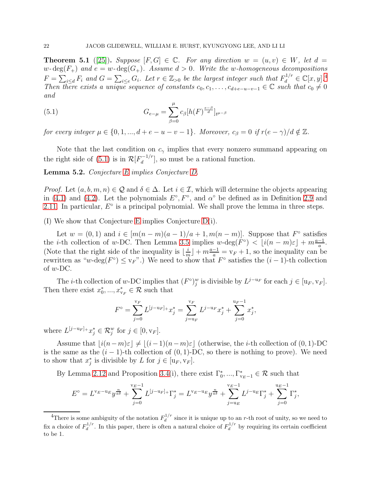<span id="page-21-2"></span>**Theorem 5.1** ([\[25\]](#page-24-19)). *Suppose*  $[F, G] \in \mathbb{C}$ *. For any direction*  $w = (u, v) \in W$ *, let*  $d =$  $w$ - $\deg(F_+)$  and  $e = w$ - $\deg(G_+)$ *. Assume*  $d > 0$ *. Write the* w-homogeneous decompositions  $F = \sum_{i \le d} F_i$  and  $G = \sum_{i \le e} G_i$ . Let  $r \in \mathbb{Z}_{> 0}$  be the largest integer such that  $F_d^{1/r} \in \mathbb{C}[x, y]$ .<sup>[4](#page-21-0)</sup> *Then there exists a unique sequence of constants*  $c_0, c_1, \ldots, c_{d+e-u-v-1} \in \mathbb{C}$  *such that*  $c_0 \neq 0$ *and*

<span id="page-21-1"></span>(5.1) 
$$
G_{e-\mu} = \sum_{\beta=0}^{\mu} c_{\beta} [h(F)^{\frac{e-\beta}{d}}]_{t^{\mu-\beta}}
$$

*for every integer*  $\mu \in \{0, 1, ..., d + e - u - v - 1\}$ *. Moreover,*  $c_{\beta} = 0$  *if*  $r(e - \gamma)/d \notin \mathbb{Z}$ *.* 

Note that the last condition on  $c_{\gamma}$  implies that every nonzero summand appearing on the right side of [\(5.1\)](#page-21-1) is in  $\mathcal{R}[F_d^{-1/r}]$  $\binom{-1}{d}$ , so must be a rational function.

Lemma 5.2. *Conjecture [E](#page-20-2) implies Conjecture [D.](#page-8-0)*

*Proof.* Let  $(a, b, m, n) \in \mathcal{Q}$  and  $\delta \in \Delta$ . Let  $i \in \mathcal{I}$ , which will determine the objects appearing in [\(4.1\)](#page-18-0) and [\(4.2\)](#page-18-1). Let the polynomials  $E^{\circ}, F^{\circ}$ , and  $\alpha^{\circ}$  be defined as in Definition [2.9](#page-6-2) and [2.11.](#page-7-2) In particular,  $E^{\circ}$  is a principal polynomial. We shall prove the lemma in three steps.

(I) We show that Conjecture [E](#page-20-2) implies Conjecture [D\(](#page-8-0)i).

Let  $w = (0, 1)$  and  $i \in [m(n-m)(a-1)/a+1, m(n-m)]$ . Suppose that  $F^{\circ}$  satisfies the *i*-th collection of *w*-DC. Then Lemma [3.5](#page-15-0) implies  $w$ -deg( $F^{\circ}$ ) <  $\lfloor i(n-m)\varepsilon \rfloor + m\frac{a-1}{a}$ . (Note that the right side of the inequality is  $\frac{i}{n}$  $\frac{i}{m}$  +  $m\frac{a-1}{a}$  =  $v_F + 1$ , so the inequality can be rewritten as "w-deg $(F^{\circ}) \leq v_F$ ".) We need to show that  $F^{\circ}$  satisfies the  $(i-1)$ -th collection of  $w$ -DC.

The *i*-th collection of w-DC implies that  $(F^{\circ})_j^w$  is divisible by  $L^{j-u_F}$  for each  $j \in [u_F, v_F]$ . Then there exist  $x_0^*,...,x_{v_F}^* \in \mathcal{R}$  such that

$$
F^{\circ} = \sum_{j=0}^{\nu_F} L^{[j-u_F]_+} x_j^* = \sum_{j=u_F}^{\nu_F} L^{j-u_F} x_j^* + \sum_{j=0}^{u_F-1} x_j^*,
$$

where  $L^{[j-u_F]_+}x_j^* \in \mathcal{R}_j^w$  for  $j \in [0, v_F]$ .

Assume that  $|i(n-m)\varepsilon| \neq |(i-1)(n-m)\varepsilon|$  (otherwise, the *i*-th collection of (0, 1)-DC is the same as the  $(i - 1)$ -th collection of  $(0, 1)$ -DC, so there is nothing to prove). We need to show that  $x_j^*$  is divisible by L for  $j \in [\mathbf{u}_F, \mathbf{v}_F]$ .

By Lemma [2.12](#page-7-1) and Proposition [3.4\(](#page-12-1)i), there exist  $\Gamma_0^*,...,\Gamma_{v_E-1}^* \in \mathcal{R}$  such that

$$
E^{\circ} = L^{v_E - u_E} y^{\frac{n}{a\delta}} + \sum_{j=0}^{v_E - 1} L^{[j - u_F]_+} \Gamma_j^* = L^{v_E - u_E} y^{\frac{n}{a\delta}} + \sum_{j=u_E}^{v_E - 1} L^{j - u_E} \Gamma_j^* + \sum_{j=0}^{u_E - 1} \Gamma_j^*,
$$

<span id="page-21-0"></span><sup>&</sup>lt;sup>4</sup>There is some ambiguity of the notation  $F_d^{1/r}$  $\frac{d}{dt}$  since it is unique up to an r-th root of unity, so we need to fix a choice of  $F_d^{1/r}$  $\frac{d^{1/r}}{dt}$ . In this paper, there is often a natural choice of  $F_d^{1/r}$ .  $\frac{d^{1/r}}{dt}$  by requiring its certain coefficient to be 1.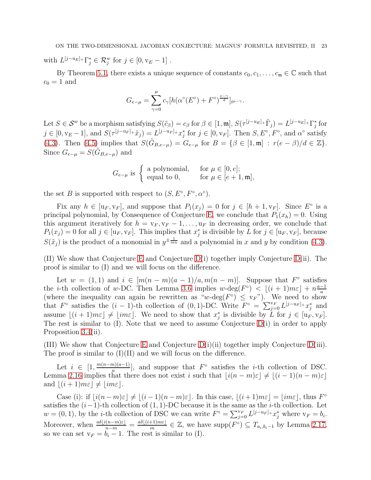with  $L^{[j-u_E]_+} \Gamma_j^* \in \mathcal{R}_j^w$  for  $j \in [0, v_E - 1]$ .

By Theorem [5.1,](#page-21-2) there exists a unique sequence of constants  $c_0, c_1, \ldots, c_m \in \mathbb{C}$  such that  $c_0 = 1$  and

$$
G_{e-\mu} = \sum_{\gamma=0}^{\mu} c_{\gamma} [h(\alpha^{\circ}(E^{\circ}) + F^{\circ})^{\frac{e-\gamma}{d}}]_{t^{\mu-\gamma}}.
$$

Let  $S \in \mathcal{S}^w$  be a morphism satisfying  $S(\tilde{c}_{\beta}) = c_{\beta}$  for  $\beta \in [1, \mathfrak{m}], S(\tau^{[j-u_E]_+} \tilde{\Gamma}_j) = L^{[j-u_E]_+} \Gamma_j^*$  for  $j \in [0, v_E-1]$ , and  $S(\tau^{[j-u_F]_+}\tilde{x}_j) = L^{[j-u_F]_+}x_j^*$  for  $j \in [0, v_F]$ . Then  $S, E^{\circ}, F^{\circ}$ , and  $\alpha^{\circ}$  satisfy [\(4.3\)](#page-18-2). Then [\(4.5\)](#page-19-0) implies that  $S(\tilde{G}_{B,e-\mu}) = G_{e-\mu}$  for  $B = \{\beta \in [1, \mathfrak{m}] : r(e-\beta)/d \in \mathbb{Z}\}.$ Since  $G_{e-\mu} = S(\tilde{G}_{B,e-\mu})$  and

$$
G_{e-\mu}
$$
 is  $\begin{cases} \text{a polynomial,} & \text{for } \mu \in [0, e]; \\ \text{equal to 0,} & \text{for } \mu \in [e+1, \mathfrak{m}], \end{cases}$ 

the set B is supported with respect to  $(S, E^{\circ}, F^{\circ}, \alpha^{\circ}).$ 

Fix any  $h \in [\mathbf{u}_F, \mathbf{v}_F]$ , and suppose that  $P_1(x_j) = 0$  for  $j \in [h+1, \mathbf{v}_F]$ . Since  $E^{\circ}$  is a principal polynomial, by Consequence of Conjecture [E,](#page-20-2) we conclude that  $P_1(x_h) = 0$ . Using this argument iteratively for  $h = v_F, v_F - 1, \ldots, u_F$  in decreasing order, we conclude that  $P_1(x_j) = 0$  for all  $j \in [u_F, v_F]$ . This implies that  $x_j^*$  is divisible by L for  $j \in [u_F, v_F]$ , because  $S(\tilde{x}_j)$  is the product of a monomial in  $y^{\pm \frac{1}{mn}}$  and a polynomial in x and y by condition [\(4.3\)](#page-18-2).

(II) We show that Conjecture [E](#page-20-2) and Conjecture [D\(](#page-8-0)i) together imply Conjecture [D\(](#page-8-0)ii). The proof is similar to (I) and we will focus on the difference.

Let  $w = (1, 1)$  and  $i \in [m(n-m)(a-1)/a, m(n-m)]$ . Suppose that  $F^{\circ}$  satisfies the *i*-th collection of w-DC. Then Lemma [3.6](#page-15-2) implies  $w$ -deg( $F^{\circ}$ ) <  $\lfloor (i+1)m\varepsilon \rfloor + n\frac{a-1}{a}$ a (where the inequality can again be rewritten as "w-deg( $F^{\circ}$ )  $\leq$   $v_F$ "). We need to show that  $F^{\circ}$  satisfies the  $(i-1)$ -th collection of  $(0,1)$ -DC. Write  $F^{\circ} = \sum_{j=0}^{V_F} L^{[j-u_F]_+} x_j^*$  and assume  $\lfloor (i+1)m\varepsilon \rfloor \neq \lfloor im\varepsilon \rfloor$ . We need to show that  $x_j^*$  is divisible by  $\tilde{L}$  for  $j \in [\mathfrak{u}_F, \mathfrak{v}_F]$ . The rest is similar to  $(I)$ . Note that we need to assume Conjecture  $D(i)$  in order to apply Proposition [3.4\(](#page-12-1)ii).

(III) We show that Conjecture [E](#page-20-2) and Conjecture  $D(i)$  (ii) together imply Conjecture  $D(iii)$ . The proof is similar to  $(I)(II)$  and we will focus on the difference.

Let  $i \in [1, \frac{m(n-m)(a-1)}{a}]$  $\frac{n(n-1)}{a}$ , and suppose that  $F^{\circ}$  satisfies the *i*-th collection of DSC. Lemma [2.16](#page-9-3) implies that there does not exist i such that  $[i(n-m)\varepsilon] \neq [(i-1)(n-m)\varepsilon]$ and  $|(i + 1)m\varepsilon| \neq |im\varepsilon|$ .

Case (i): if  $\lfloor i(n-m)\varepsilon \rfloor \neq \lfloor (i-1)(n-m)\varepsilon \rfloor$ . In this case,  $\lfloor (i+1)m\varepsilon \rfloor = \lfloor im\varepsilon \rfloor$ , thus  $F^{\circ}$ satisfies the  $(i-1)$ -th collection of  $(1, 1)$ -DC because it is the same as the *i*-th collection. Let  $w = (0, 1)$ , by the *i*-th collection of DSC we can write  $F^{\circ} = \sum_{j=0}^{V_F} L^{[j-u_F]_+} x^*_j$  where  $v_F = b_i$ . Moreover, when  $\frac{a\delta[i(n-m)\varepsilon]}{n-m} = \frac{a\delta[(i+1)m\varepsilon]}{m}$  $\frac{(-1)^{m\varepsilon}}{m}$  ∈ Z, we have supp $(F^{\circ}) \subseteq T_{a_i,b_i-1}$  by Lemma [2.17,](#page-9-2) so we can set  $v_F = b_i - 1$ . The rest is similar to (I).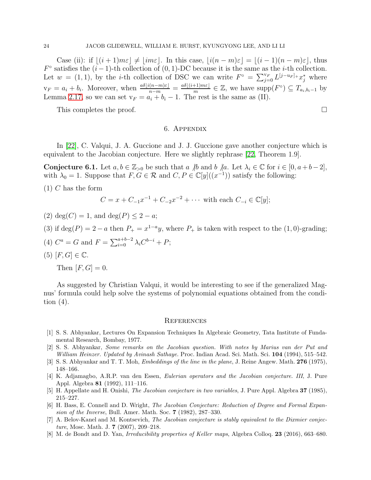Case (ii): if  $|(i + 1)m\varepsilon| \neq |im\varepsilon|$ . In this case,  $|i(n - m)\varepsilon| = |(i - 1)(n - m)\varepsilon|$ , thus  $F^{\circ}$  satisfies the  $(i-1)$ -th collection of  $(0, 1)$ -DC because it is the same as the *i*-th collection. Let  $w = (1, 1)$ , by the *i*-th collection of DSC we can write  $F^{\circ} = \sum_{j=0}^{V_F} L^{[j-u_F]_+} x^*_j$  where  $v_F = a_i + b_i$ . Moreover, when  $\frac{a\delta[i(n-m)\varepsilon]}{n-m} = \frac{a\delta[(i+1)m\varepsilon]}{m}$  $\frac{(-1)m\varepsilon|}{m} \in \mathbb{Z}$ , we have  $\text{supp}(F^{\circ}) \subseteq T_{a_i,b_i-1}$  by Lemma [2.17,](#page-9-2) so we can set  $v_F = a_i + b_i - 1$ . The rest is the same as (II).

This completes the proof.

## 6. Appendix

In [\[22\]](#page-24-20), C. Valqui, J. A. Guccione and J. J. Guccione gave another conjecture which is equivalent to the Jacobian conjecture. Here we slightly rephrase [\[22,](#page-24-20) Theorem 1.9].

<span id="page-23-7"></span>**Conjecture 6.1.** Let  $a, b \in \mathbb{Z}_{>0}$  be such that  $a \nmid b$  and  $b \nmid a$ . Let  $\lambda_i \in \mathbb{C}$  for  $i \in [0, a+b-2]$ , with  $\lambda_0 = 1$ . Suppose that  $F, G \in \mathcal{R}$  and  $C, P \in \mathbb{C}[y]((x^{-1}))$  satisfy the following:

 $(1)$  C has the form

$$
C = x + C_{-1}x^{-1} + C_{-2}x^{-2} + \cdots
$$
 with each  $C_{-i} \in \mathbb{C}[y]$ ;

- (2) deg(C) = 1, and deg(P) < 2 a;
- (3) if  $deg(P) = 2 a$  then  $P_+ = x^{1-a}y$ , where  $P_+$  is taken with respect to the (1,0)-grading;
- (4)  $C^a = G$  and  $F = \sum_{i=0}^{a+b-2} \lambda_i C^{b-i} + P;$
- $(5)$   $[F, G] \in \mathbb{C}$ .

Then  $[F, G] = 0$ .

As suggested by Christian Valqui, it would be interesting to see if the generalized Magnus' formula could help solve the systems of polynomial equations obtained from the condition  $(4)$ .

#### **REFERENCES**

- <span id="page-23-1"></span>[1] S. S. Abhyankar, Lectures On Expansion Techniques In Algebraic Geometry, Tata Institute of Fundamental Research, Bombay, 1977.
- [2] S. S. Abhyankar, Some remarks on the Jacobian question. With notes by Marius van der Put and William Heinzer. Updated by Avinash Sathaye. Proc. Indian Acad. Sci. Math. Sci. 104 (1994), 515–542.
- <span id="page-23-2"></span><span id="page-23-0"></span>[3] S. S. Abhyankar and T. T. Moh, Embeddings of the line in the plane, J. Reine Angew. Math. 276 (1975), 148–166.
- [4] K. Adjamagbo, A.R.P. van den Essen, Eulerian operators and the Jacobian conjecture. III, J. Pure Appl. Algebra 81 (1992), 111–116.
- <span id="page-23-4"></span><span id="page-23-3"></span>[5] H. Appellate and H. Onishi, The Jacobian conjecture in two variables, J. Pure Appl. Algebra 37 (1985), 215–227.
- [6] H. Bass, E. Connell and D. Wright, The Jacobian Conjecture: Reduction of Degree and Formal Expansion of the Inverse, Bull. Amer. Math. Soc. 7 (1982), 287–330.
- <span id="page-23-5"></span>[7] A. Belov-Kanel and M. Kontsevich, The Jacobian conjecture is stably equivalent to the Dixmier conjecture, Mosc. Math. J. 7 (2007), 209–218.
- <span id="page-23-6"></span>[8] M. de Bondt and D. Yan, Irreducibility properties of Keller maps, Algebra Colloq. 23 (2016), 663–680.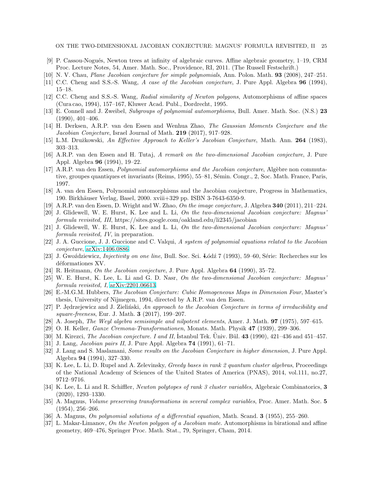ON THE TWO-DIMENSIONAL JACOBIAN CONJECTURE: MAGNUS' FORMULA REVISITED, II 25

- <span id="page-24-18"></span><span id="page-24-2"></span>[9] P. Cassou-Nogués, Newton trees at infinity of algebraic curves. Affine algebraic geometry, 1–19, CRM Proc. Lecture Notes, 54, Amer. Math. Soc., Providence, RI, 2011. (The Russell Festschrift.)
- <span id="page-24-3"></span>[10] N. V. Chau, Plane Jacobian conjecture for simple polynomials, Ann. Polon. Math. 93 (2008), 247–251.
- <span id="page-24-4"></span>[11] C.C. Cheng and S.S.-S. Wang, A case of the Jacobian conjecture, J. Pure Appl. Algebra 96 (1994), 15–18.
- [12] C.C. Cheng and S.S.-S. Wang, Radial similarity of Newton polygons, Automorphisms of affine spaces (Cura cao, 1994), 157–167, Kluwer Acad. Publ., Dordrecht, 1995.
- <span id="page-24-5"></span>[13] E. Connell and J. Zweibel, Subgroups of polynomial automorphisms, Bull. Amer. Math. Soc. (N.S.) 23 (1990), 401–406.
- <span id="page-24-1"></span>[14] H. Derksen, A.R.P. van den Essen and Wenhua Zhao, The Gaussian Moments Conjecture and the Jacobian Conjecture, Israel Journal of Math. 219 (2017), 917–928.
- <span id="page-24-7"></span><span id="page-24-6"></span>[15] L.M. Družkowski, An Effective Approach to Keller's Jacobian Conjecture, Math. Ann. 264 (1983), 303–313.
- [16] A.R.P. van den Essen and H. Tutaj, A remark on the two-dimensional Jacobian conjecture, J. Pure Appl. Algebra 96 (1994), 19–22.
- <span id="page-24-14"></span>[17] A.R.P. van den Essen, *Polynomial automorphisms and the Jacobian conjecture*, Algèbre non commutative, groupes quantiques et invariants (Reims, 1995), 55–81, Sémin. Congr., 2, Soc. Math. France, Paris, 1997.
- <span id="page-24-15"></span><span id="page-24-8"></span>[18] A. van den Essen, Polynomial automorphisms and the Jacobian conjecture, Progress in Mathematics, 190. Birkh¨auser Verlag, Basel, 2000. xviii+329 pp. ISBN 3-7643-6350-9.
- <span id="page-24-22"></span>[19] A.R.P. van den Essen, D. Wright and W. Zhao, On the image conjecture, J. Algebra 340 (2011), 211–224.
- [20] J. Glidewell, W. E. Hurst, K. Lee and L. Li, On the two-dimensional Jacobian conjecture: Magnus' formula revisited, III, https://sites.google.com/oakland.edu/li2345/jacobian
- <span id="page-24-23"></span>[21] J. Glidewell, W. E. Hurst, K. Lee and L. Li, On the two-dimensional Jacobian conjecture: Magnus' formula revisited, IV, in preparation.
- <span id="page-24-20"></span>[22] J. A. Guccione, J. J. Guccione and C. Valqui, A system of polynomial equations related to the Jacobian conjecture, [arXiv:1406.0886.](http://arxiv.org/abs/1406.0886)
- <span id="page-24-9"></span>[23] J. Gwoździewicz, *Injectivity on one line*, Bull. Soc. Sci. Łódź 7 (1993), 59–60, Série: Recherches sur les déformationes XV.
- <span id="page-24-19"></span>[24] R. Heitmann, On the Jacobian conjecture, J. Pure Appl. Algebra 64 (1990), 35–72.
- <span id="page-24-10"></span>[25] W. E. Hurst, K. Lee, L. Li and G. D. Nasr, On the two-dimensional Jacobian conjecture: Magnus' formula revisited, I, [arXiv:2201.06613.](http://arxiv.org/abs/2201.06613)
- [26] E.-M.G.M. Hubbers, The Jacobian Conjecture: Cubic Homogeneous Maps in Dimension Four, Master's thesis, University of Nijmegen, 1994, directed by A.R.P. van den Essen.
- <span id="page-24-11"></span>[27] P. Jędrzejewicz and J. Zieliński, An approach to the Jacobian Conjecture in terms of irreducibility and square-freeness, Eur. J. Math. 3 (2017), 199–207.
- <span id="page-24-0"></span>[28] A. Joseph, The Weyl algebra semisimple and nilpotent elements, Amer. J. Math. 97 (1975), 597–615.
- <span id="page-24-12"></span>[29] O. H. Keller, Ganze Cremona-Transformationen, Monats. Math. Physik 47 (1939), 299–306.
- [30] M. Kirezci, *The Jacobian conjecture. I and II*, İstanbul Tek. Üniv. Bül. 43 (1990), 421-436 and 451-457.
- <span id="page-24-13"></span>[31] J. Lang, Jacobian pairs II, J. Pure Appl. Algebra 74 (1991), 61–71.
- [32] J. Lang and S. Maslamani, Some results on the Jacobian Conjecture in higher dimension, J. Pure Appl. Algebra 94 (1994), 327–330.
- <span id="page-24-17"></span>[33] K. Lee, L. Li, D. Rupel and A. Zelevinsky, Greedy bases in rank 2 quantum cluster algebras, Proceedings of the National Academy of Sciences of the United States of America (PNAS), 2014, vol.111, no.27, 9712–9716.
- <span id="page-24-16"></span>[34] K. Lee, L. Li and R. Schiffler, Newton polytopes of rank 3 cluster variables, Algebraic Combinatorics, 3 (2020), 1293–1330.
- [35] A. Magnus, Volume preserving transformations in several complex variables, Proc. Amer. Math. Soc. 5 (1954), 256–266.
- <span id="page-24-21"></span>[36] A. Magnus, On polynomial solutions of a differential equation, Math. Scand.  $3$  (1955), 255–260.
- [37] L. Makar-Limanov, On the Newton polygon of a Jacobian mate. Automorphisms in birational and affine geometry, 469–476, Springer Proc. Math. Stat., 79, Springer, Cham, 2014.